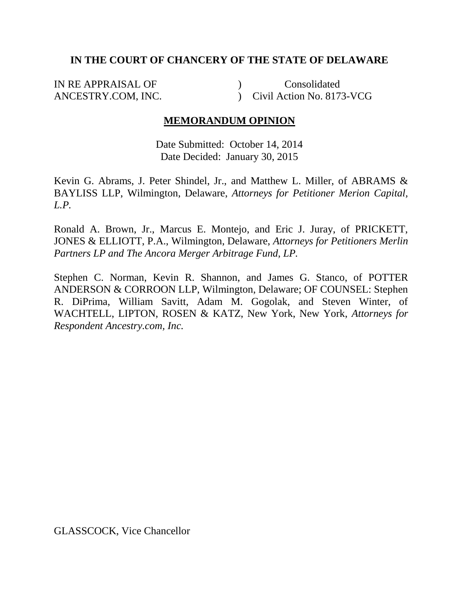### **IN THE COURT OF CHANCERY OF THE STATE OF DELAWARE**

IN RE APPRAISAL OF ANCESTRY.COM, INC.  $\mathcal{L}$ ) Civil Action No. 8173-VCG Consolidated

## **MEMORANDUM OPINION**

Date Submitted: October 14, 2014 Date Decided: January 30, 2015

Kevin G. Abrams, J. Peter Shindel, Jr., and Matthew L. Miller, of ABRAMS & BAYLISS LLP, Wilmington, Delaware, *Attorneys for Petitioner Merion Capital, L.P.* 

Ronald A. Brown, Jr., Marcus E. Montejo, and Eric J. Juray, of PRICKETT, JONES & ELLIOTT, P.A., Wilmington, Delaware, *Attorneys for Petitioners Merlin Partners LP and The Ancora Merger Arbitrage Fund, LP.*

Stephen C. Norman, Kevin R. Shannon, and James G. Stanco, of POTTER ANDERSON & CORROON LLP, Wilmington, Delaware; OF COUNSEL: Stephen R. DiPrima, William Savitt, Adam M. Gogolak, and Steven Winter, of WACHTELL, LIPTON, ROSEN & KATZ, New York, New York, *Attorneys for Respondent Ancestry.com, Inc.*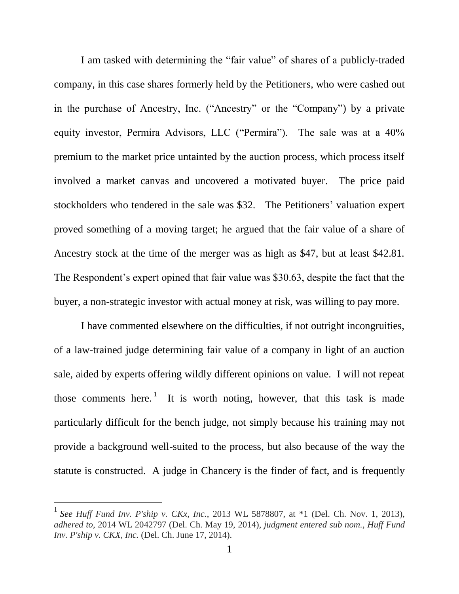I am tasked with determining the "fair value" of shares of a publicly-traded company, in this case shares formerly held by the Petitioners, who were cashed out in the purchase of Ancestry, Inc. ("Ancestry" or the "Company") by a private equity investor, Permira Advisors, LLC ("Permira"). The sale was at a 40% premium to the market price untainted by the auction process, which process itself involved a market canvas and uncovered a motivated buyer. The price paid stockholders who tendered in the sale was \$32. The Petitioners' valuation expert proved something of a moving target; he argued that the fair value of a share of Ancestry stock at the time of the merger was as high as \$47, but at least \$42.81. The Respondent's expert opined that fair value was \$30.63, despite the fact that the buyer, a non-strategic investor with actual money at risk, was willing to pay more.

I have commented elsewhere on the difficulties, if not outright incongruities, of a law-trained judge determining fair value of a company in light of an auction sale, aided by experts offering wildly different opinions on value. I will not repeat those comments here.<sup>1</sup> It is worth noting, however, that this task is made particularly difficult for the bench judge, not simply because his training may not provide a background well-suited to the process, but also because of the way the statute is constructed. A judge in Chancery is the finder of fact, and is frequently

<sup>1</sup> *See Huff Fund Inv. P'ship v. CKx, Inc.*, 2013 WL 5878807, at \*1 (Del. Ch. Nov. 1, 2013), *adhered to*, 2014 WL 2042797 (Del. Ch. May 19, 2014), *judgment entered sub nom., Huff Fund Inv. P'ship v. CKX, Inc.* (Del. Ch. June 17, 2014).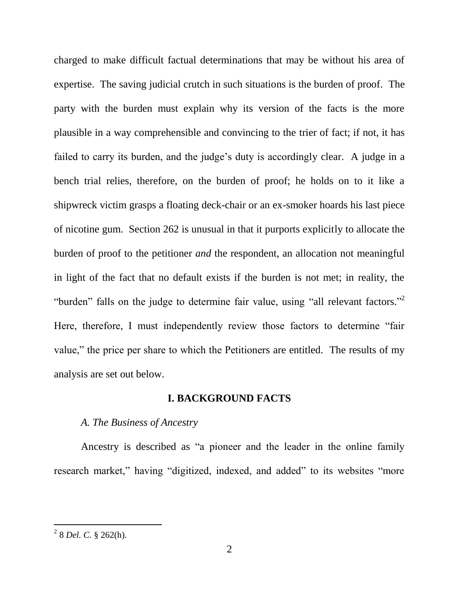charged to make difficult factual determinations that may be without his area of expertise. The saving judicial crutch in such situations is the burden of proof. The party with the burden must explain why its version of the facts is the more plausible in a way comprehensible and convincing to the trier of fact; if not, it has failed to carry its burden, and the judge's duty is accordingly clear. A judge in a bench trial relies, therefore, on the burden of proof; he holds on to it like a shipwreck victim grasps a floating deck-chair or an ex-smoker hoards his last piece of nicotine gum. Section 262 is unusual in that it purports explicitly to allocate the burden of proof to the petitioner *and* the respondent, an allocation not meaningful in light of the fact that no default exists if the burden is not met; in reality, the "burden" falls on the judge to determine fair value, using "all relevant factors." Here, therefore, I must independently review those factors to determine "fair value," the price per share to which the Petitioners are entitled. The results of my analysis are set out below.

### **I. BACKGROUND FACTS**

### *A. The Business of Ancestry*

Ancestry is described as "a pioneer and the leader in the online family research market," having "digitized, indexed, and added" to its websites "more

 2 8 *Del. C.* § 262(h).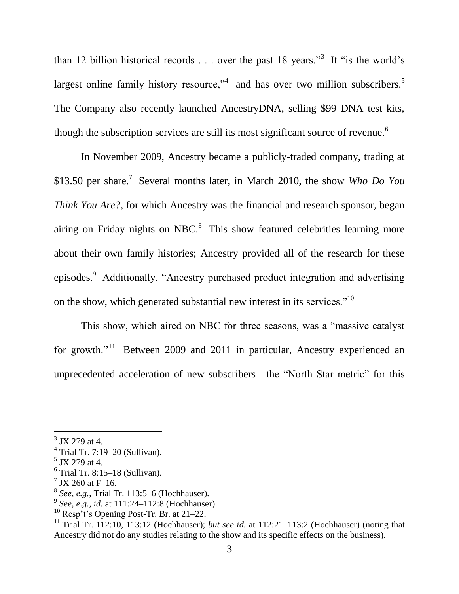than 12 billion historical records  $\ldots$  over the past 18 years.<sup>3</sup> It "is the world's largest online family history resource," and has over two million subscribers. $5$ The Company also recently launched AncestryDNA, selling \$99 DNA test kits, though the subscription services are still its most significant source of revenue.<sup>6</sup>

In November 2009, Ancestry became a publicly-traded company, trading at \$13.50 per share.<sup>7</sup> Several months later, in March 2010, the show *Who Do You Think You Are?*, for which Ancestry was the financial and research sponsor, began airing on Friday nights on NBC. $8$  This show featured celebrities learning more about their own family histories; Ancestry provided all of the research for these episodes.<sup>9</sup> Additionally, "Ancestry purchased product integration and advertising on the show, which generated substantial new interest in its services."<sup>10</sup>

This show, which aired on NBC for three seasons, was a "massive catalyst" for growth."<sup>11</sup> Between 2009 and 2011 in particular, Ancestry experienced an unprecedented acceleration of new subscribers—the "North Star metric" for this

 $3$  JX 279 at 4.

 $4$  Trial Tr. 7:19–20 (Sullivan).

 $<sup>5</sup>$  JX 279 at 4.</sup>

 $6$  Trial Tr. 8:15-18 (Sullivan).

 $7$  JX 260 at F-16.

<sup>8</sup> *See, e.g.*, Trial Tr. 113:5–6 (Hochhauser).

<sup>9</sup> *See, e.g.*, *id.* at 111:24–112:8 (Hochhauser).

 $10$  Resp't's Opening Post-Tr. Br. at 21–22.

<sup>&</sup>lt;sup>11</sup> Trial Tr. 112:10, 113:12 (Hochhauser); *but see id.* at 112:21–113:2 (Hochhauser) (noting that Ancestry did not do any studies relating to the show and its specific effects on the business).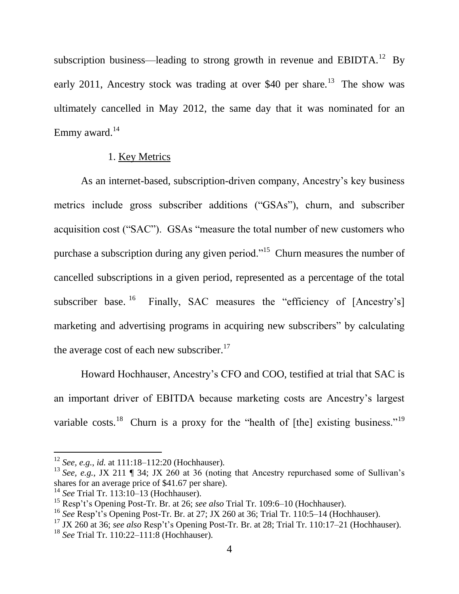subscription business—leading to strong growth in revenue and EBIDTA.<sup>12</sup> By early 2011, Ancestry stock was trading at over \$40 per share.<sup>13</sup> The show was ultimately cancelled in May 2012, the same day that it was nominated for an Emmy award. $14$ 

### 1. Key Metrics

As an internet-based, subscription-driven company, Ancestry's key business metrics include gross subscriber additions ("GSAs"), churn, and subscriber acquisition cost ("SAC"). GSAs "measure the total number of new customers who purchase a subscription during any given period."<sup>15</sup> Churn measures the number of cancelled subscriptions in a given period, represented as a percentage of the total subscriber base.<sup>16</sup> Finally, SAC measures the "efficiency of [Ancestry's] marketing and advertising programs in acquiring new subscribers" by calculating the average cost of each new subscriber. $17$ 

Howard Hochhauser, Ancestry's CFO and COO, testified at trial that SAC is an important driver of EBITDA because marketing costs are Ancestry's largest variable costs.<sup>18</sup> Churn is a proxy for the "health of [the] existing business."<sup>19</sup>

<sup>12</sup> *See, e.g.*, *id.* at 111:18–112:20 (Hochhauser).

<sup>&</sup>lt;sup>13</sup> See, e.g., JX 211 ¶ 34; JX 260 at 36 (noting that Ancestry repurchased some of Sullivan's shares for an average price of \$41.67 per share).

<sup>14</sup> *See* Trial Tr. 113:10–13 (Hochhauser).

<sup>15</sup> Resp't's Opening Post-Tr. Br. at 26; *see also* Trial Tr. 109:6–10 (Hochhauser).

<sup>16</sup> *See* Resp't's Opening Post-Tr. Br. at 27; JX 260 at 36; Trial Tr. 110:5–14 (Hochhauser).

<sup>17</sup> JX 260 at 36; *see also* Resp't's Opening Post-Tr. Br. at 28; Trial Tr. 110:17–21 (Hochhauser).

<sup>18</sup> *See* Trial Tr. 110:22–111:8 (Hochhauser).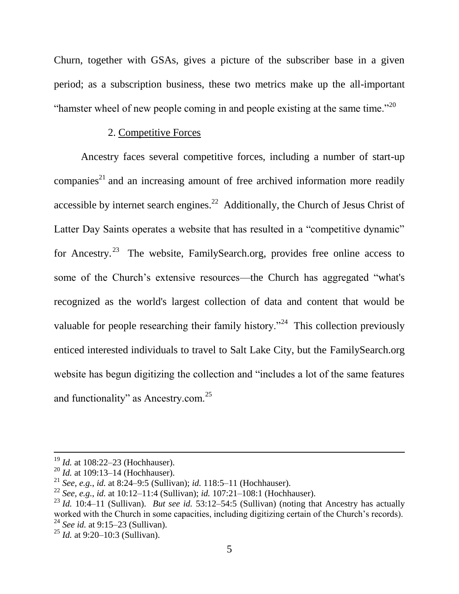Churn, together with GSAs, gives a picture of the subscriber base in a given period; as a subscription business, these two metrics make up the all-important "hamster wheel of new people coming in and people existing at the same time."<sup>20</sup>

#### 2. Competitive Forces

Ancestry faces several competitive forces, including a number of start-up companies<sup>21</sup> and an increasing amount of free archived information more readily accessible by internet search engines.<sup>22</sup> Additionally, the Church of Jesus Christ of Latter Day Saints operates a website that has resulted in a "competitive dynamic" for Ancestry.<sup>23</sup> The website, FamilySearch.org, provides free online access to some of the Church's extensive resources—the Church has aggregated "what's recognized as the world's largest collection of data and content that would be valuable for people researching their family history."<sup>24</sup> This collection previously enticed interested individuals to travel to Salt Lake City, but the FamilySearch.org website has begun digitizing the collection and "includes a lot of the same features" and functionality" as Ancestry.com. $25$ 

<sup>19</sup> *Id.* at 108:22–23 (Hochhauser).

<sup>20</sup> *Id.* at 109:13–14 (Hochhauser).

<sup>21</sup> *See, e.g.*, *id.* at 8:24–9:5 (Sullivan); *id.* 118:5–11 (Hochhauser).

<sup>22</sup> *See, e.g.*, *id.* at 10:12–11:4 (Sullivan); *id.* 107:21–108:1 (Hochhauser).

<sup>23</sup> *Id.* 10:4–11 (Sullivan). *But see id.* 53:12–54:5 (Sullivan) (noting that Ancestry has actually worked with the Church in some capacities, including digitizing certain of the Church's records). <sup>24</sup> *See id.* at 9:15–23 (Sullivan).

<sup>25</sup> *Id.* at 9:20–10:3 (Sullivan).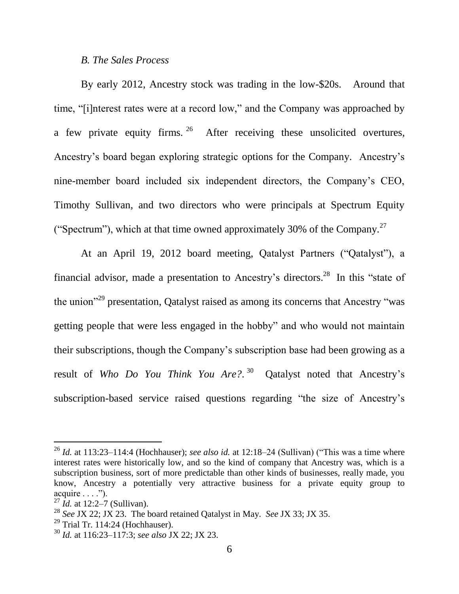#### *B. The Sales Process*

By early 2012, Ancestry stock was trading in the low-\$20s. Around that time, "[i]nterest rates were at a record low," and the Company was approached by a few private equity firms. <sup>26</sup> After receiving these unsolicited overtures, Ancestry's board began exploring strategic options for the Company. Ancestry's nine-member board included six independent directors, the Company's CEO, Timothy Sullivan, and two directors who were principals at Spectrum Equity ("Spectrum"), which at that time owned approximately 30% of the Company.<sup>27</sup>

At an April 19, 2012 board meeting, Qatalyst Partners ("Qatalyst"), a financial advisor, made a presentation to Ancestry's directors.<sup>28</sup> In this "state of the union<sup> $29$ </sup> presentation, Qatalyst raised as among its concerns that Ancestry "was getting people that were less engaged in the hobby" and who would not maintain their subscriptions, though the Company's subscription base had been growing as a result of *Who Do You Think You Are?*. 30 Qatalyst noted that Ancestry's subscription-based service raised questions regarding "the size of Ancestry's

<sup>&</sup>lt;sup>26</sup> *Id.* at 113:23–114:4 (Hochhauser); *see also id.* at 12:18–24 (Sullivan) ("This was a time where interest rates were historically low, and so the kind of company that Ancestry was, which is a subscription business, sort of more predictable than other kinds of businesses, really made, you know, Ancestry a potentially very attractive business for a private equity group to  $acquire \ldots$ ").

<sup>27</sup> *Id.* at 12:2–7 (Sullivan).

<sup>28</sup> *See* JX 22; JX 23. The board retained Qatalyst in May. *See* JX 33; JX 35.

 $29$  Trial Tr. 114:24 (Hochhauser).

<sup>30</sup> *Id.* at 116:23–117:3; *see also* JX 22; JX 23.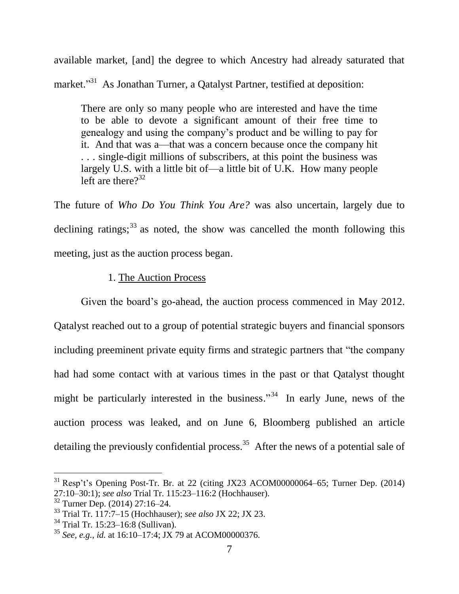available market, [and] the degree to which Ancestry had already saturated that market."<sup>31</sup> As Jonathan Turner, a Qatalyst Partner, testified at deposition:

There are only so many people who are interested and have the time to be able to devote a significant amount of their free time to genealogy and using the company's product and be willing to pay for it. And that was a—that was a concern because once the company hit . . . single-digit millions of subscribers, at this point the business was largely U.S. with a little bit of—a little bit of U.K. How many people left are there  $2^{32}$ 

The future of *Who Do You Think You Are?* was also uncertain, largely due to declining ratings;  $33$  as noted, the show was cancelled the month following this meeting, just as the auction process began.

### 1. The Auction Process

Given the board's go-ahead, the auction process commenced in May 2012. Qatalyst reached out to a group of potential strategic buyers and financial sponsors including preeminent private equity firms and strategic partners that "the company" had had some contact with at various times in the past or that Qatalyst thought might be particularly interested in the business."<sup>34</sup> In early June, news of the auction process was leaked, and on June 6, Bloomberg published an article detailing the previously confidential process.<sup>35</sup> After the news of a potential sale of

 $31$  Resp't's Opening Post-Tr. Br. at 22 (citing JX23 ACOM00000064–65; Turner Dep. (2014) 27:10–30:1); *see also* Trial Tr. 115:23–116:2 (Hochhauser).

 $rac{32}{32}$  Turner Dep. (2014) 27:16–24.

<sup>33</sup> Trial Tr. 117:7–15 (Hochhauser); *see also* JX 22; JX 23.

<sup>34</sup> Trial Tr. 15:23–16:8 (Sullivan).

<sup>35</sup> *See, e.g.*, *id.* at 16:10–17:4; JX 79 at ACOM00000376.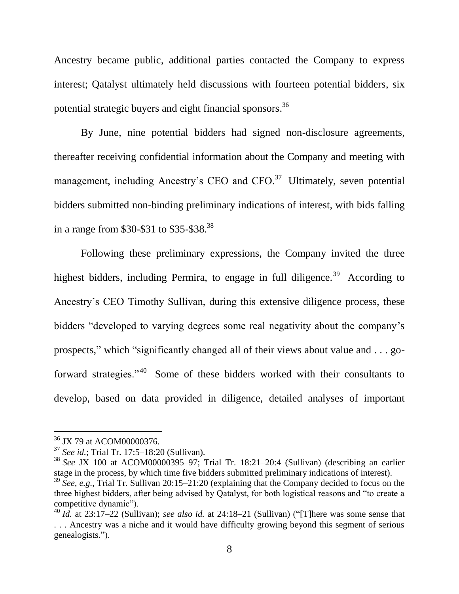Ancestry became public, additional parties contacted the Company to express interest; Qatalyst ultimately held discussions with fourteen potential bidders, six potential strategic buyers and eight financial sponsors.<sup>36</sup>

By June, nine potential bidders had signed non-disclosure agreements, thereafter receiving confidential information about the Company and meeting with management, including Ancestry's CEO and CFO.<sup>37</sup> Ultimately, seven potential bidders submitted non-binding preliminary indications of interest, with bids falling in a range from \$30-\$31 to \$35-\$38. 38

Following these preliminary expressions, the Company invited the three highest bidders, including Permira, to engage in full diligence.<sup>39</sup> According to Ancestry's CEO Timothy Sullivan, during this extensive diligence process, these bidders "developed to varying degrees some real negativity about the company's prospects," which "significantly changed all of their views about value and . . . goforward strategies."<sup>40</sup> Some of these bidders worked with their consultants to develop, based on data provided in diligence, detailed analyses of important

<sup>&</sup>lt;sup>36</sup> JX 79 at ACOM00000376.

<sup>37</sup> *See id.*; Trial Tr. 17:5–18:20 (Sullivan).

<sup>38</sup> *See* JX 100 at ACOM00000395–97; Trial Tr. 18:21–20:4 (Sullivan) (describing an earlier stage in the process, by which time five bidders submitted preliminary indications of interest).

<sup>39</sup> *See, e.g.*, Trial Tr. Sullivan 20:15–21:20 (explaining that the Company decided to focus on the three highest bidders, after being advised by Qatalyst, for both logistical reasons and "to create a competitive dynamic").

 $^{40}$  *Id.* at 23:17–22 (Sullivan); *see also id.* at 24:18–21 (Sullivan) ("There was some sense that . . . Ancestry was a niche and it would have difficulty growing beyond this segment of serious genealogists.").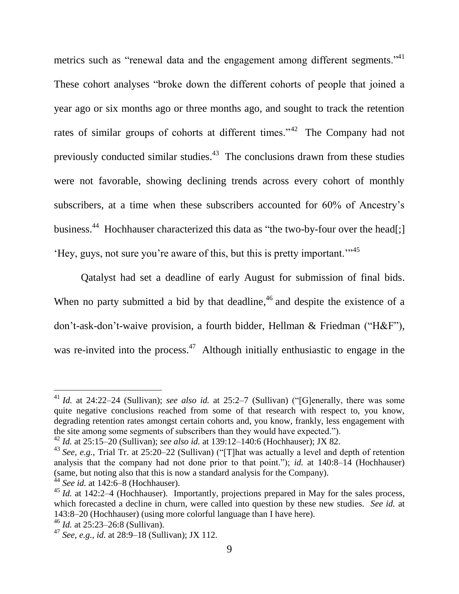<span id="page-9-0"></span>metrics such as "renewal data and the engagement among different segments."<sup>41</sup> These cohort analyses "broke down the different cohorts of people that joined a year ago or six months ago or three months ago, and sought to track the retention rates of similar groups of cohorts at different times.<sup> $142$ </sup> The Company had not previously conducted similar studies. $43$  The conclusions drawn from these studies were not favorable, showing declining trends across every cohort of monthly subscribers, at a time when these subscribers accounted for 60% of Ancestry's business.<sup>44</sup> Hochhauser characterized this data as "the two-by-four over the head[;]  $Hey, gus, not sure you're aware of this, but this is pretty important.$ <sup>"45</sup>

<span id="page-9-1"></span>Qatalyst had set a deadline of early August for submission of final bids. When no party submitted a bid by that deadline,  $46$  and despite the existence of a don't-ask-don't-waive provision, a fourth bidder, Hellman & Friedman ("H&F"), was re-invited into the process.<sup>47</sup> Although initially enthusiastic to engage in the

<sup>&</sup>lt;sup>41</sup> *Id.* at 24:22–24 (Sullivan); *see also id.* at 25:2–7 (Sullivan) ("[G]enerally, there was some quite negative conclusions reached from some of that research with respect to, you know, degrading retention rates amongst certain cohorts and, you know, frankly, less engagement with the site among some segments of subscribers than they would have expected.").

<sup>42</sup> *Id.* at 25:15–20 (Sullivan); *see also id.* at 139:12–140:6 (Hochhauser); JX 82.

 $^{43}$  *See, e.g.*, Trial Tr. at 25:20–22 (Sullivan) ("[T] hat was actually a level and depth of retention analysis that the company had not done prior to that point."); *id.* at 140:8–14 (Hochhauser) (same, but noting also that this is now a standard analysis for the Company).

<sup>44</sup> *See id.* at 142:6–8 (Hochhauser).

<sup>&</sup>lt;sup>45</sup> *Id.* at 142:2–4 (Hochhauser). Importantly, projections prepared in May for the sales process, which forecasted a decline in churn, were called into question by these new studies. *See id.* at 143:8–20 (Hochhauser) (using more colorful language than I have here).

<sup>46</sup> *Id.* at 25:23–26:8 (Sullivan).

<sup>47</sup> *See, e.g.*, *id.* at 28:9–18 (Sullivan); JX 112.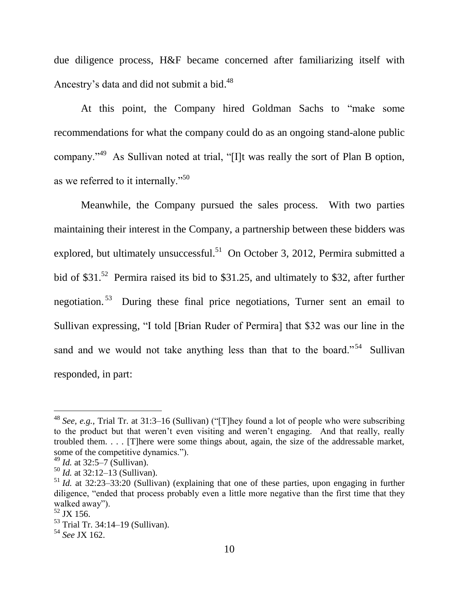due diligence process, H&F became concerned after familiarizing itself with Ancestry's data and did not submit a bid.<sup>48</sup>

At this point, the Company hired Goldman Sachs to "make some recommendations for what the company could do as an ongoing stand-alone public company."<sup>49</sup> As Sullivan noted at trial, "[I]t was really the sort of Plan B option, as we referred to it internally." $50$ 

Meanwhile, the Company pursued the sales process. With two parties maintaining their interest in the Company, a partnership between these bidders was explored, but ultimately unsuccessful.<sup>51</sup> On October 3, 2012, Permira submitted a bid of \$31.<sup>52</sup> Permira raised its bid to \$31.25, and ultimately to \$32, after further negotiation.<sup>53</sup> During these final price negotiations, Turner sent an email to Sullivan expressing, "I told [Brian Ruder of Permira] that \$32 was our line in the sand and we would not take anything less than that to the board."<sup>54</sup> Sullivan responded, in part:

<sup>&</sup>lt;sup>48</sup> *See, e.g.*, Trial Tr. at 31:3–16 (Sullivan) ("[T]hey found a lot of people who were subscribing to the product but that weren't even visiting and weren't engaging. And that really, really troubled them. . . . [T]here were some things about, again, the size of the addressable market, some of the competitive dynamics.").

<sup>49</sup> *Id.* at 32:5–7 (Sullivan).

<sup>50</sup> *Id.* at 32:12–13 (Sullivan).

<sup>51</sup> *Id.* at 32:23–33:20 (Sullivan) (explaining that one of these parties, upon engaging in further diligence, "ended that process probably even a little more negative than the first time that they walked away").

 $\frac{52}{32}$  JX 156.

<sup>53</sup> Trial Tr. 34:14–19 (Sullivan).

<sup>54</sup> *See* JX 162.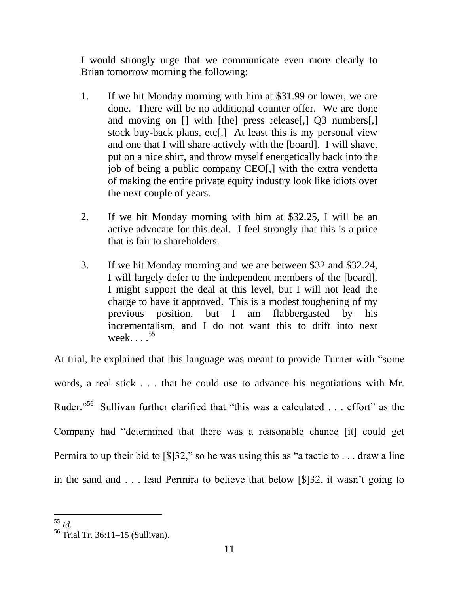I would strongly urge that we communicate even more clearly to Brian tomorrow morning the following:

- 1. If we hit Monday morning with him at \$31.99 or lower, we are done. There will be no additional counter offer. We are done and moving on [] with [the] press release<sup>[1]</sup> 03 numbers<sup>[1]</sup> stock buy-back plans, etc[.] At least this is my personal view and one that I will share actively with the [board]. I will shave, put on a nice shirt, and throw myself energetically back into the job of being a public company CEO[,] with the extra vendetta of making the entire private equity industry look like idiots over the next couple of years.
- 2. If we hit Monday morning with him at \$32.25, I will be an active advocate for this deal. I feel strongly that this is a price that is fair to shareholders.
- 3. If we hit Monday morning and we are between \$32 and \$32.24, I will largely defer to the independent members of the [board]. I might support the deal at this level, but I will not lead the charge to have it approved. This is a modest toughening of my previous position, but I am flabbergasted by his incrementalism, and I do not want this to drift into next week. . . . <sup>55</sup>

At trial, he explained that this language was meant to provide Turner with "some words, a real stick . . . that he could use to advance his negotiations with Mr. Ruder."<sup>56</sup> Sullivan further clarified that "this was a calculated  $\ldots$  effort" as the Company had "determined that there was a reasonable chance [it] could get Permira to up their bid to  $\lceil \frac{1}{3} \rceil$  so he was using this as "a tactic to . . . draw a line in the sand and . . . lead Permira to believe that below [\$]32, it wasn't going to

l <sup>55</sup> *Id.*

<sup>56</sup> Trial Tr. 36:11–15 (Sullivan).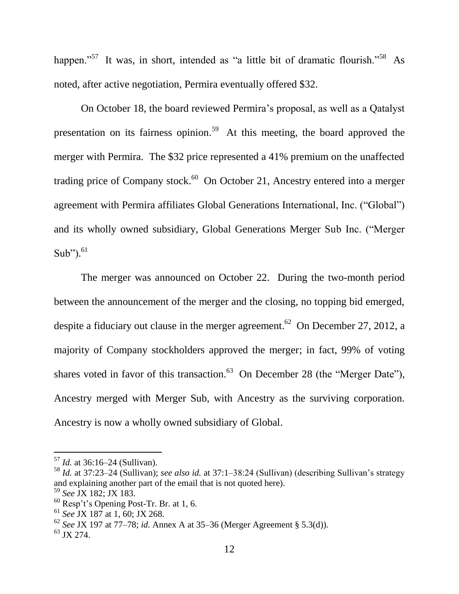happen."<sup>57</sup> It was, in short, intended as "a little bit of dramatic flourish."<sup>58</sup> As noted, after active negotiation, Permira eventually offered \$32.

On October 18, the board reviewed Permira's proposal, as well as a Qatalyst presentation on its fairness opinion.<sup>59</sup> At this meeting, the board approved the merger with Permira. The \$32 price represented a 41% premium on the unaffected trading price of Company stock. $60$  On October 21, Ancestry entered into a merger agreement with Permira affiliates Global Generations International, Inc. ("Global") and its wholly owned subsidiary, Global Generations Merger Sub Inc. ("Merger Sub"). $61$ 

The merger was announced on October 22. During the two-month period between the announcement of the merger and the closing, no topping bid emerged, despite a fiduciary out clause in the merger agreement.<sup>62</sup> On December 27, 2012, a majority of Company stockholders approved the merger; in fact, 99% of voting shares voted in favor of this transaction.<sup>63</sup> On December 28 (the "Merger Date"), Ancestry merged with Merger Sub, with Ancestry as the surviving corporation. Ancestry is now a wholly owned subsidiary of Global.

<sup>57</sup> *Id.* at 36:16–24 (Sullivan).

<sup>58</sup> *Id.* at 37:23–24 (Sullivan); *see also id.* at 37:1–38:24 (Sullivan) (describing Sullivan's strategy and explaining another part of the email that is not quoted here).

<sup>59</sup> *See* JX 182; JX 183.

 $60$  Resp't's Opening Post-Tr. Br. at 1, 6.

<sup>61</sup> *See* JX 187 at 1, 60; JX 268.

<sup>62</sup> *See* JX 197 at 77–78; *id.* Annex A at 35–36 (Merger Agreement § 5.3(d)).

 $^{63}$  JX 274.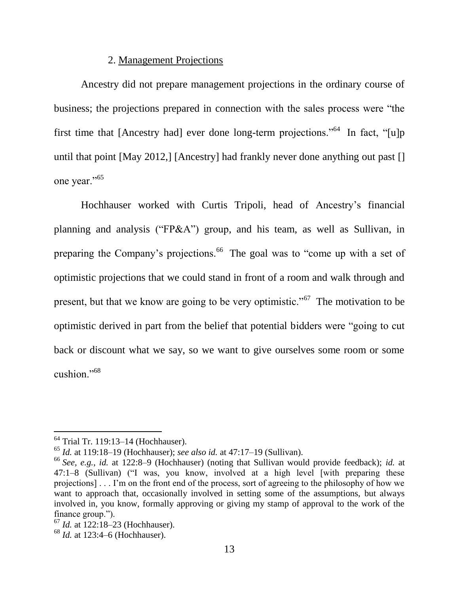### 2. Management Projections

Ancestry did not prepare management projections in the ordinary course of business; the projections prepared in connection with the sales process were "the first time that [Ancestry had] ever done long-term projections."<sup>64</sup> In fact, "[u]p until that point [May 2012,] [Ancestry] had frankly never done anything out past [] one year."<sup>65</sup>

Hochhauser worked with Curtis Tripoli, head of Ancestry's financial planning and analysis ("FP&A") group, and his team, as well as Sullivan, in preparing the Company's projections.<sup>66</sup> The goal was to "come up with a set of optimistic projections that we could stand in front of a room and walk through and present, but that we know are going to be very optimistic."<sup> $67$ </sup> The motivation to be optimistic derived in part from the belief that potential bidders were "going to cut back or discount what we say, so we want to give ourselves some room or some cushion." $68$ 

 $64$  Trial Tr. 119:13–14 (Hochhauser).

<sup>65</sup> *Id.* at 119:18–19 (Hochhauser); *see also id.* at 47:17–19 (Sullivan).

<sup>66</sup> *See, e.g.*, *id.* at 122:8–9 (Hochhauser) (noting that Sullivan would provide feedback); *id.* at  $47:1-8$  (Sullivan) ("I was, you know, involved at a high level [with preparing these projections] . . . I'm on the front end of the process, sort of agreeing to the philosophy of how we want to approach that, occasionally involved in setting some of the assumptions, but always involved in, you know, formally approving or giving my stamp of approval to the work of the finance group.").

<sup>67</sup> *Id.* at 122:18–23 (Hochhauser).

<sup>68</sup> *Id.* at 123:4–6 (Hochhauser).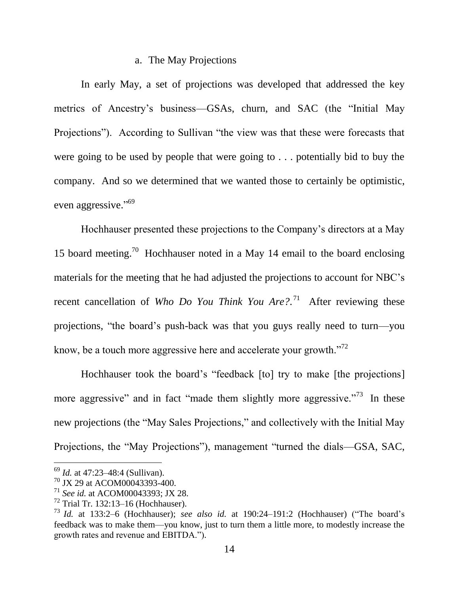### a. The May Projections

In early May, a set of projections was developed that addressed the key metrics of Ancestry's business—GSAs, churn, and SAC (the "Initial May Projections"). According to Sullivan "the view was that these were forecasts that were going to be used by people that were going to . . . potentially bid to buy the company. And so we determined that we wanted those to certainly be optimistic, even aggressive."<sup>69</sup>

Hochhauser presented these projections to the Company's directors at a May 15 board meeting.<sup>70</sup> Hochhauser noted in a May 14 email to the board enclosing materials for the meeting that he had adjusted the projections to account for NBC's recent cancellation of *Who Do You Think You Are?*<sup>71</sup> After reviewing these projections, "the board's push-back was that you guys really need to turn—you know, be a touch more aggressive here and accelerate your growth. $12<sup>72</sup>$ 

Hochhauser took the board's "feedback [to] try to make [the projections] more aggressive" and in fact "made them slightly more aggressive."<sup>73</sup> In these new projections (the "May Sales Projections," and collectively with the Initial May Projections, the "May Projections"), management "turned the dials—GSA, SAC,

<sup>69</sup> *Id.* at 47:23–48:4 (Sullivan).

<sup>70</sup> JX 29 at ACOM00043393-400.

<sup>71</sup> *See id.* at ACOM00043393; JX 28.

 $72$  Trial Tr. 132:13–16 (Hochhauser).

<sup>&</sup>lt;sup>73</sup> *Id.* at 133:2–6 (Hochhauser); *see also id.* at 190:24–191:2 (Hochhauser) ("The board's feedback was to make them—you know, just to turn them a little more, to modestly increase the growth rates and revenue and EBITDA.").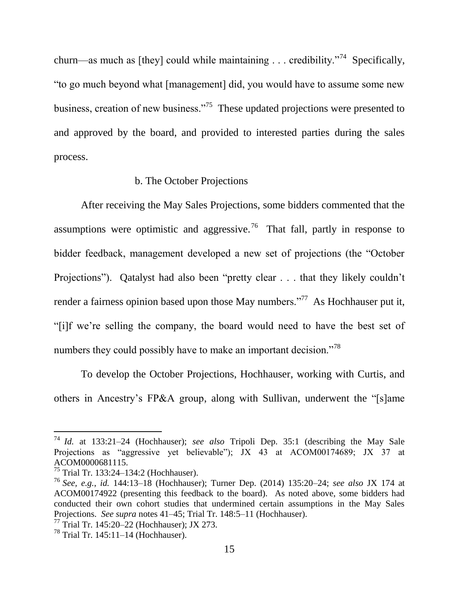churn—as much as [they] could while maintaining . . . credibility.<sup> $2^{74}$ </sup> Specifically, ―to go much beyond what [management] did, you would have to assume some new business, creation of new business. $175$  These updated projections were presented to and approved by the board, and provided to interested parties during the sales process.

#### b. The October Projections

After receiving the May Sales Projections, some bidders commented that the assumptions were optimistic and aggressive.<sup>76</sup> That fall, partly in response to bidder feedback, management developed a new set of projections (the "October Projections"). Qatalyst had also been "pretty clear . . . that they likely couldn't render a fairness opinion based upon those May numbers.<sup> $277$ </sup> As Hochhauser put it, ―[i]f we're selling the company, the board would need to have the best set of numbers they could possibly have to make an important decision."<sup>78</sup>

To develop the October Projections, Hochhauser, working with Curtis, and others in Ancestry's FP&A group, along with Sullivan, underwent the "[s]ame

<sup>74</sup> *Id.* at 133:21–24 (Hochhauser); *see also* Tripoli Dep. 35:1 (describing the May Sale Projections as "aggressive yet believable"); JX 43 at ACOM00174689; JX 37 at ACOM0000681115.

<sup>75</sup> Trial Tr. 133:24–134:2 (Hochhauser).

<sup>76</sup> *See, e.g.*, *id.* 144:13–18 (Hochhauser); Turner Dep. (2014) 135:20–24; *see also* JX 174 at ACOM00174922 (presenting this feedback to the board). As noted above, some bidders had conducted their own cohort studies that undermined certain assumptions in the May Sales Projections. *See supra* notes [41–](#page-9-0)[45;](#page-9-1) Trial Tr. 148:5–11 (Hochhauser).

<sup>77</sup> Trial Tr. 145:20–22 (Hochhauser); JX 273.

 $78$  Trial Tr. 145:11–14 (Hochhauser).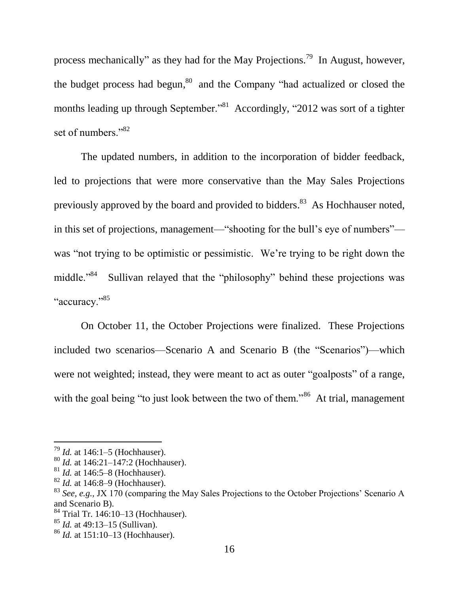process mechanically" as they had for the May Projections.<sup>79</sup> In August, however, the budget process had begun,  $80^{\circ}$  and the Company "had actualized or closed the months leading up through September."<sup>81</sup> Accordingly, "2012 was sort of a tighter set of numbers."<sup>82</sup>

The updated numbers, in addition to the incorporation of bidder feedback, led to projections that were more conservative than the May Sales Projections previously approved by the board and provided to bidders.<sup>83</sup> As Hochhauser noted, in this set of projections, management—"shooting for the bull's eye of numbers" was "not trying to be optimistic or pessimistic. We're trying to be right down the middle."<sup>84</sup> Sullivan relayed that the "philosophy" behind these projections was "accuracy."<sup>85</sup>

On October 11, the October Projections were finalized. These Projections included two scenarios—Scenario A and Scenario B (the "Scenarios")—which were not weighted; instead, they were meant to act as outer "goalposts" of a range, with the goal being "to just look between the two of them."<sup>86</sup> At trial, management

<sup>79</sup> *Id.* at 146:1–5 (Hochhauser).

<sup>80</sup> *Id.* at 146:21–147:2 (Hochhauser).

<sup>81</sup> *Id.* at 146:5–8 (Hochhauser).

<sup>82</sup> *Id.* at 146:8–9 (Hochhauser).

<sup>&</sup>lt;sup>83</sup> *See, e.g., JX 170* (comparing the May Sales Projections to the October Projections' Scenario A and Scenario B).

 $84$  Trial Tr. 146:10–13 (Hochhauser).

<sup>85</sup> *Id.* at 49:13–15 (Sullivan).

<sup>86</sup> *Id.* at 151:10–13 (Hochhauser).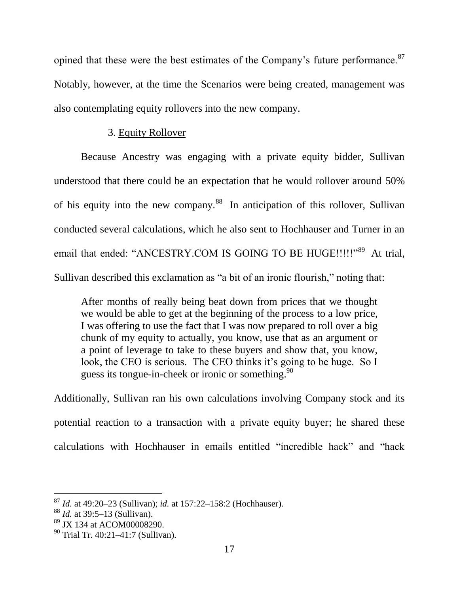opined that these were the best estimates of the Company's future performance.<sup>87</sup> Notably, however, at the time the Scenarios were being created, management was also contemplating equity rollovers into the new company.

## 3. Equity Rollover

Because Ancestry was engaging with a private equity bidder, Sullivan understood that there could be an expectation that he would rollover around 50% of his equity into the new company.<sup>88</sup> In anticipation of this rollover, Sullivan conducted several calculations, which he also sent to Hochhauser and Turner in an email that ended: "ANCESTRY.COM IS GOING TO BE HUGE!!!!!"<sup>89</sup> At trial, Sullivan described this exclamation as "a bit of an ironic flourish," noting that:

After months of really being beat down from prices that we thought we would be able to get at the beginning of the process to a low price, I was offering to use the fact that I was now prepared to roll over a big chunk of my equity to actually, you know, use that as an argument or a point of leverage to take to these buyers and show that, you know, look, the CEO is serious. The CEO thinks it's going to be huge. So I guess its tongue-in-cheek or ironic or something.  $90$ 

Additionally, Sullivan ran his own calculations involving Company stock and its potential reaction to a transaction with a private equity buyer; he shared these calculations with Hochhauser in emails entitled "incredible hack" and "hack

<sup>87</sup> *Id.* at 49:20–23 (Sullivan); *id.* at 157:22–158:2 (Hochhauser).

<sup>88</sup> *Id.* at 39:5–13 (Sullivan).

<sup>89</sup> JX 134 at ACOM00008290.

<sup>90</sup> Trial Tr. 40:21–41:7 (Sullivan).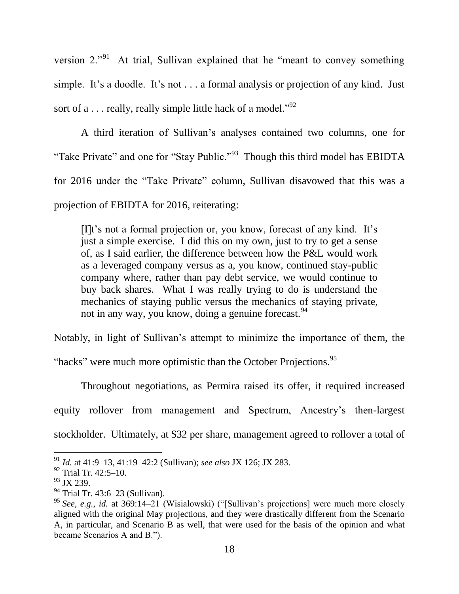version  $2.^{91}$  At trial, Sullivan explained that he "meant to convey something simple. It's a doodle. It's not . . . a formal analysis or projection of any kind. Just sort of a . . . really, really simple little hack of a model."<sup>92</sup>

A third iteration of Sullivan's analyses contained two columns, one for "Take Private" and one for "Stay Public."<sup>93</sup> Though this third model has EBIDTA for 2016 under the "Take Private" column, Sullivan disavowed that this was a projection of EBIDTA for 2016, reiterating:

[I]t's not a formal projection or, you know, forecast of any kind. It's just a simple exercise. I did this on my own, just to try to get a sense of, as I said earlier, the difference between how the P&L would work as a leveraged company versus as a, you know, continued stay-public company where, rather than pay debt service, we would continue to buy back shares. What I was really trying to do is understand the mechanics of staying public versus the mechanics of staying private, not in any way, you know, doing a genuine forecast.<sup>94</sup>

Notably, in light of Sullivan's attempt to minimize the importance of them, the

"hacks" were much more optimistic than the October Projections.<sup>95</sup>

Throughout negotiations, as Permira raised its offer, it required increased equity rollover from management and Spectrum, Ancestry's then-largest stockholder. Ultimately, at \$32 per share, management agreed to rollover a total of

<sup>91</sup> *Id.* at 41:9–13, 41:19–42:2 (Sullivan); *see also* JX 126; JX 283.

<sup>92</sup> Trial Tr. 42:5–10.

 $93$  JX 239.

<sup>94</sup> Trial Tr. 43:6–23 (Sullivan).

<sup>&</sup>lt;sup>95</sup> *See, e.g., id.* at 369:14–21 (Wisialowski) ("[Sullivan's projections] were much more closely aligned with the original May projections, and they were drastically different from the Scenario A, in particular, and Scenario B as well, that were used for the basis of the opinion and what became Scenarios A and B.").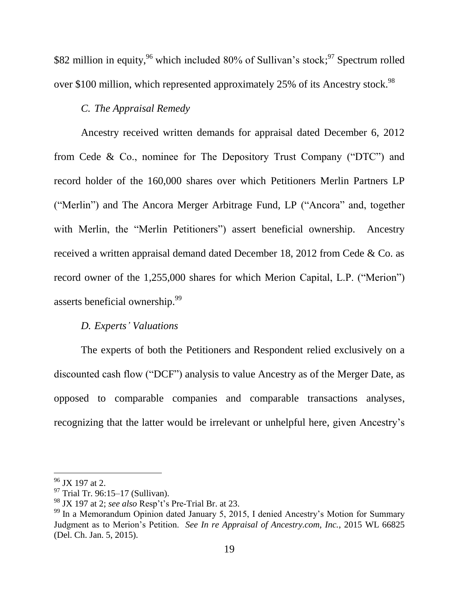\$82 million in equity, <sup>96</sup> which included 80% of Sullivan's stock; <sup>97</sup> Spectrum rolled over \$100 million, which represented approximately 25% of its Ancestry stock.<sup>98</sup>

# *C. The Appraisal Remedy*

Ancestry received written demands for appraisal dated December 6, 2012 from Cede & Co., nominee for The Depository Trust Company ("DTC") and record holder of the 160,000 shares over which Petitioners Merlin Partners LP ("Merlin") and The Ancora Merger Arbitrage Fund, LP ("Ancora" and, together with Merlin, the "Merlin Petitioners") assert beneficial ownership. Ancestry received a written appraisal demand dated December 18, 2012 from Cede & Co. as record owner of the  $1,255,000$  shares for which Merion Capital, L.P. ("Merion") asserts beneficial ownership.<sup>99</sup>

### *D. Experts' Valuations*

The experts of both the Petitioners and Respondent relied exclusively on a discounted cash flow ("DCF") analysis to value Ancestry as of the Merger Date, as opposed to comparable companies and comparable transactions analyses, recognizing that the latter would be irrelevant or unhelpful here, given Ancestry's

 $96$  JX 197 at 2.

<sup>97</sup> Trial Tr. 96:15–17 (Sullivan).

<sup>98</sup> JX 197 at 2; *see also* Resp't's Pre-Trial Br. at 23.

 $99$  In a Memorandum Opinion dated January 5, 2015, I denied Ancestry's Motion for Summary Judgment as to Merion's Petition. *See In re Appraisal of Ancestry.com, Inc.*, 2015 WL 66825 (Del. Ch. Jan. 5, 2015).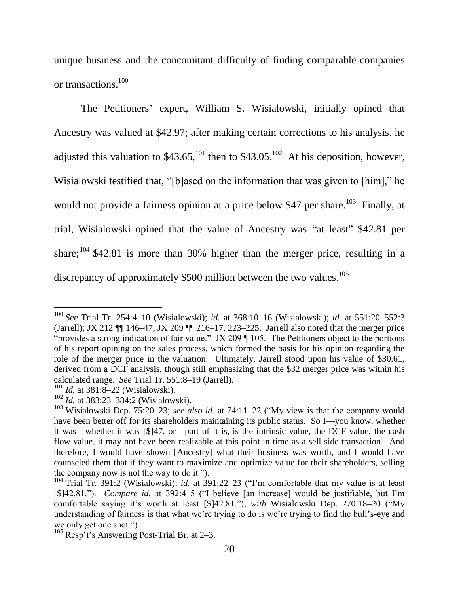unique business and the concomitant difficulty of finding comparable companies or transactions. 100

The Petitioners' expert, William S. Wisialowski, initially opined that Ancestry was valued at \$42.97; after making certain corrections to his analysis, he adjusted this valuation to \$43.65,<sup>101</sup> then to \$43.05.<sup>102</sup> At his deposition, however, Wisialowski testified that, "[b]ased on the information that was given to [him]," he would not provide a fairness opinion at a price below \$47 per share.<sup>103</sup> Finally, at trial, Wisialowski opined that the value of Ancestry was "at least" \$42.81 per share;  $104$  \$42.81 is more than 30% higher than the merger price, resulting in a discrepancy of approximately  $$500$  million between the two values.<sup>105</sup>

<sup>100</sup> *See* Trial Tr. 254:4–10 (Wisialowski); *id.* at 368:10–16 (Wisialowski); *id.* at 551:20–552:3 (Jarrell); JX 212 ¶¶ 146–47; JX 209 ¶¶ 216–17, 223–225. Jarrell also noted that the merger price "provides a strong indication of fair value." JX 209  $\P$  105. The Petitioners object to the portions of his report opining on the sales process, which formed the basis for his opinion regarding the role of the merger price in the valuation. Ultimately, Jarrell stood upon his value of \$30.61, derived from a DCF analysis, though still emphasizing that the \$32 merger price was within his calculated range. *See* Trial Tr. 551:8–19 (Jarrell).

<sup>&</sup>lt;sup>101</sup> *Id.* at 381:8–22 (Wisialowski).

<sup>102</sup> *Id.* at 383:23–384:2 (Wisialowski).

<sup>&</sup>lt;sup>103</sup> Wisialowski Dep. 75:20–23; *see also id.* at 74:11–22 ("My view is that the company would have been better off for its shareholders maintaining its public status. So I—you know, whether it was—whether it was [\$]47, or—part of it is, is the intrinsic value, the DCF value, the cash flow value, it may not have been realizable at this point in time as a sell side transaction. And therefore, I would have shown [Ancestry] what their business was worth, and I would have counseled them that if they want to maximize and optimize value for their shareholders, selling the company now is not the way to do it.").

 $104$  Trial Tr. 391:2 (Wisialowski); *id.* at 391:22–23 ("I'm comfortable that my value is at least [\$]42.81."). *Compare id.* at 392:4–5 ("I believe [an increase] would be justifiable, but I'm comfortable saying it's worth at least [\$]42.81."), *with* Wisialowski Dep. 270:18–20 ("My understanding of fairness is that what we're trying to do is we're trying to find the bull's-eye and we only get one shot."

<sup>105</sup> Resp't's Answering Post-Trial Br. at 2–3.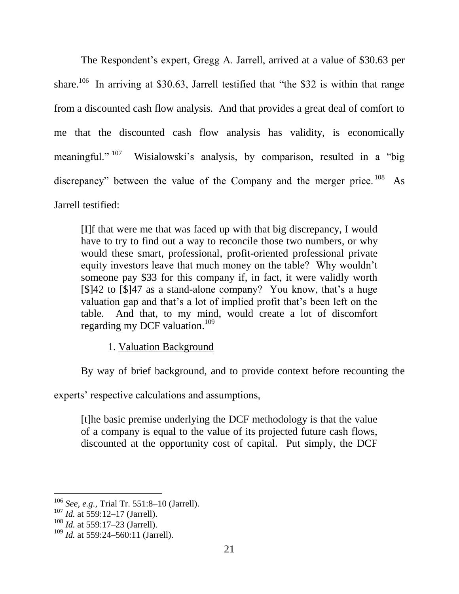The Respondent's expert, Gregg A. Jarrell, arrived at a value of \$30.63 per share.<sup>106</sup> In arriving at \$30.63, Jarrell testified that "the \$32 is within that range from a discounted cash flow analysis. And that provides a great deal of comfort to me that the discounted cash flow analysis has validity, is economically meaningful." $107$ Wisialowski's analysis, by comparison, resulted in a "big discrepancy" between the value of the Company and the merger price. <sup>108</sup> As Jarrell testified:

[I]f that were me that was faced up with that big discrepancy, I would have to try to find out a way to reconcile those two numbers, or why would these smart, professional, profit-oriented professional private equity investors leave that much money on the table? Why wouldn't someone pay \$33 for this company if, in fact, it were validly worth [\$]42 to [\$]47 as a stand-alone company? You know, that's a huge valuation gap and that's a lot of implied profit that's been left on the table. And that, to my mind, would create a lot of discomfort regarding my DCF valuation.<sup>109</sup>

1. Valuation Background

By way of brief background, and to provide context before recounting the

experts' respective calculations and assumptions,

[t]he basic premise underlying the DCF methodology is that the value of a company is equal to the value of its projected future cash flows, discounted at the opportunity cost of capital. Put simply, the DCF

<sup>106</sup> *See, e.g.,* Trial Tr. 551:8–10 (Jarrell).

<sup>107</sup> *Id.* at 559:12–17 (Jarrell).

<sup>108</sup> *Id.* at 559:17–23 (Jarrell).

<sup>&</sup>lt;sup>109</sup> *Id.* at 559:24–560:11 (Jarrell).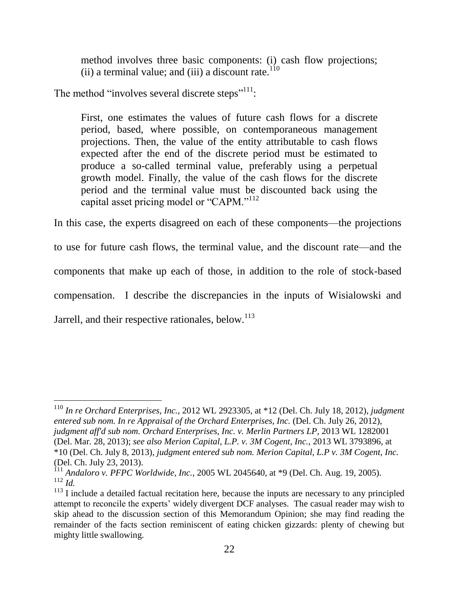method involves three basic components: (i) cash flow projections; (ii) a terminal value; and (iii) a discount rate.<sup>110</sup>

The method "involves several discrete steps"<sup>111</sup>:

First, one estimates the values of future cash flows for a discrete period, based, where possible, on contemporaneous management projections. Then, the value of the entity attributable to cash flows expected after the end of the discrete period must be estimated to produce a so-called terminal value, preferably using a perpetual growth model. Finally, the value of the cash flows for the discrete period and the terminal value must be discounted back using the capital asset pricing model or "CAPM."<sup>112</sup>

In this case, the experts disagreed on each of these components—the projections

to use for future cash flows, the terminal value, and the discount rate—and the components that make up each of those, in addition to the role of stock-based compensation. I describe the discrepancies in the inputs of Wisialowski and

Jarrell, and their respective rationales, below. $113$ 

<sup>110</sup> *In re Orchard Enterprises, Inc.*, 2012 WL 2923305, at \*12 (Del. Ch. July 18, 2012), *judgment entered sub nom. In re Appraisal of the Orchard Enterprises, Inc.* (Del. Ch. July 26, 2012), *judgment aff'd sub nom. Orchard Enterprises, Inc. v. Merlin Partners LP*, 2013 WL 1282001 (Del. Mar. 28, 2013); *see also Merion Capital, L.P. v. 3M Cogent, Inc.*, 2013 WL 3793896, at \*10 (Del. Ch. July 8, 2013), *judgment entered sub nom. Merion Capital, L.P v. 3M Cogent, Inc.* (Del. Ch. July 23, 2013).

<sup>111</sup> *Andaloro v. PFPC Worldwide, Inc.*, 2005 WL 2045640, at \*9 (Del. Ch. Aug. 19, 2005).  $112 \overline{Id}$ .

<sup>&</sup>lt;sup>113</sup> I include a detailed factual recitation here, because the inputs are necessary to any principled attempt to reconcile the experts' widely divergent DCF analyses. The casual reader may wish to skip ahead to the discussion section of this Memorandum Opinion; she may find reading the remainder of the facts section reminiscent of eating chicken gizzards: plenty of chewing but mighty little swallowing.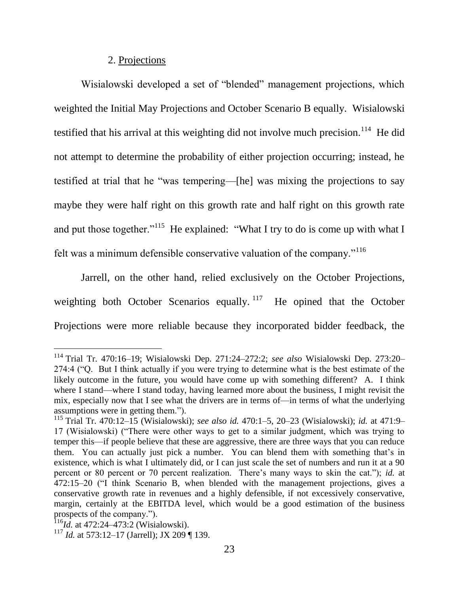### 2. Projections

Wisialowski developed a set of "blended" management projections, which weighted the Initial May Projections and October Scenario B equally. Wisialowski testified that his arrival at this weighting did not involve much precision.<sup>114</sup> He did not attempt to determine the probability of either projection occurring; instead, he testified at trial that he "was tempering—[he] was mixing the projections to say maybe they were half right on this growth rate and half right on this growth rate and put those together."<sup>115</sup> He explained: "What I try to do is come up with what I felt was a minimum defensible conservative valuation of the company."<sup>116</sup>

Jarrell, on the other hand, relied exclusively on the October Projections, weighting both October Scenarios equally.  $117$  He opined that the October Projections were more reliable because they incorporated bidder feedback, the

<sup>114</sup> Trial Tr. 470:16–19; Wisialowski Dep. 271:24–272:2; *see also* Wisialowski Dep. 273:20– 274:4 ("Q. But I think actually if you were trying to determine what is the best estimate of the likely outcome in the future, you would have come up with something different? A. I think where I stand—where I stand today, having learned more about the business, I might revisit the mix, especially now that I see what the drivers are in terms of—in terms of what the underlying assumptions were in getting them.").

<sup>115</sup> Trial Tr. 470:12–15 (Wisialowski); *see also id.* 470:1–5, 20–23 (Wisialowski); *id.* at 471:9– 17 (Wisialowski) ("There were other ways to get to a similar judgment, which was trying to temper this—if people believe that these are aggressive, there are three ways that you can reduce them. You can actually just pick a number. You can blend them with something that's in existence, which is what I ultimately did, or I can just scale the set of numbers and run it at a 90 percent or 80 percent or 70 percent realization. There's many ways to skin the cat."); *id.* at  $472:15-20$  ("I think Scenario B, when blended with the management projections, gives a conservative growth rate in revenues and a highly defensible, if not excessively conservative, margin, certainly at the EBITDA level, which would be a good estimation of the business prospects of the company.").

<sup>1&</sup>lt;sup>16</sup>*Id.* at 472:24–473:2 (Wisialowski).

<sup>117</sup> *Id.* at 573:12–17 (Jarrell); JX 209 ¶ 139.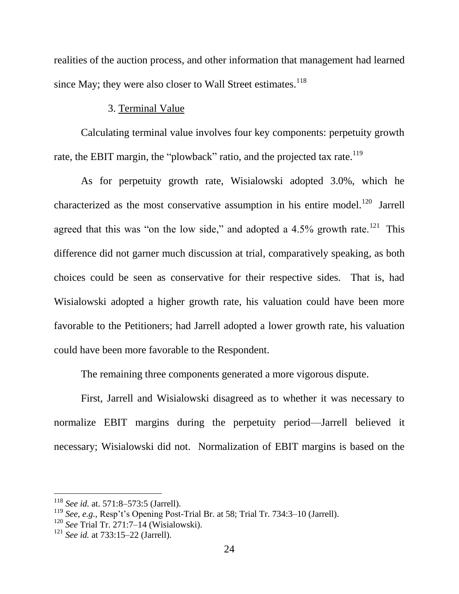realities of the auction process, and other information that management had learned since May; they were also closer to Wall Street estimates. $^{118}$ 

### 3. Terminal Value

Calculating terminal value involves four key components: perpetuity growth rate, the EBIT margin, the "plowback" ratio, and the projected tax rate.<sup>119</sup>

As for perpetuity growth rate, Wisialowski adopted 3.0%, which he characterized as the most conservative assumption in his entire model.<sup>120</sup> Jarrell agreed that this was "on the low side," and adopted a  $4.5\%$  growth rate.<sup>121</sup> This difference did not garner much discussion at trial, comparatively speaking, as both choices could be seen as conservative for their respective sides. That is, had Wisialowski adopted a higher growth rate, his valuation could have been more favorable to the Petitioners; had Jarrell adopted a lower growth rate, his valuation could have been more favorable to the Respondent.

The remaining three components generated a more vigorous dispute.

First, Jarrell and Wisialowski disagreed as to whether it was necessary to normalize EBIT margins during the perpetuity period—Jarrell believed it necessary; Wisialowski did not. Normalization of EBIT margins is based on the

<sup>118</sup> *See id.* at. 571:8–573:5 (Jarrell).

<sup>119</sup> *See, e.g.,* Resp't's Opening Post-Trial Br. at 58; Trial Tr. 734:3–10 (Jarrell).

<sup>120</sup> *See* Trial Tr. 271:7–14 (Wisialowski).

<sup>121</sup> *See id.* at 733:15–22 (Jarrell).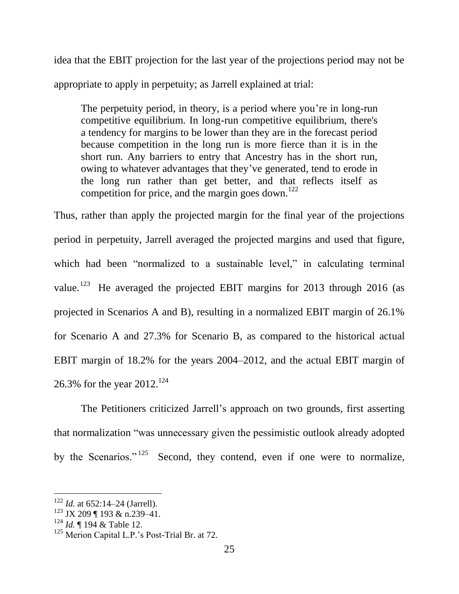idea that the EBIT projection for the last year of the projections period may not be appropriate to apply in perpetuity; as Jarrell explained at trial:

The perpetuity period, in theory, is a period where you're in long-run competitive equilibrium. In long-run competitive equilibrium, there's a tendency for margins to be lower than they are in the forecast period because competition in the long run is more fierce than it is in the short run. Any barriers to entry that Ancestry has in the short run, owing to whatever advantages that they've generated, tend to erode in the long run rather than get better, and that reflects itself as competition for price, and the margin goes down.<sup>122</sup>

Thus, rather than apply the projected margin for the final year of the projections period in perpetuity, Jarrell averaged the projected margins and used that figure, which had been "normalized to a sustainable level," in calculating terminal value.<sup>123</sup> He averaged the projected EBIT margins for 2013 through 2016 (as projected in Scenarios A and B), resulting in a normalized EBIT margin of 26.1% for Scenario A and 27.3% for Scenario B, as compared to the historical actual EBIT margin of 18.2% for the years 2004–2012, and the actual EBIT margin of 26.3% for the year  $2012.^{124}$ 

The Petitioners criticized Jarrell's approach on two grounds, first asserting that normalization "was unnecessary given the pessimistic outlook already adopted by the Scenarios."<sup>125</sup> Second, they contend, even if one were to normalize,

<sup>122</sup> *Id.* at 652:14–24 (Jarrell).

 $123$  JX 209 ¶ 193 & n.239-41.

<sup>124</sup> *Id.* ¶ 194 & Table 12.

<sup>&</sup>lt;sup>125</sup> Merion Capital L.P.'s Post-Trial Br. at 72.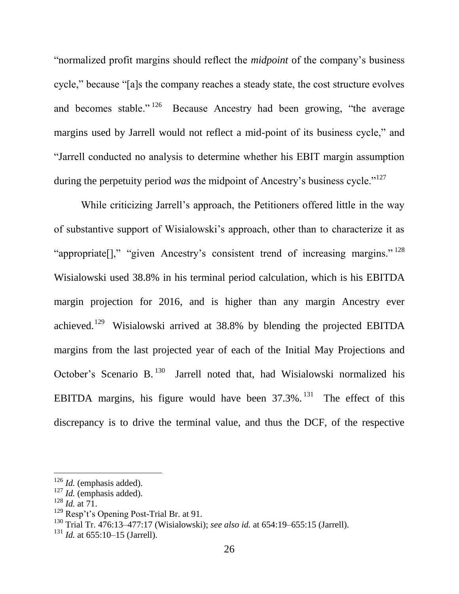―normalized profit margins should reflect the *midpoint* of the company's business cycle," because "[a]s the company reaches a steady state, the cost structure evolves and becomes stable."<sup>126</sup> Because Ancestry had been growing, "the average margins used by Jarrell would not reflect a mid-point of its business cycle," and ―Jarrell conducted no analysis to determine whether his EBIT margin assumption during the perpetuity period *was* the midpoint of Ancestry's business cycle."<sup>127</sup>

While criticizing Jarrell's approach, the Petitioners offered little in the way of substantive support of Wisialowski's approach, other than to characterize it as "appropriate[]," "given Ancestry's consistent trend of increasing margins."  $^{128}$ Wisialowski used 38.8% in his terminal period calculation, which is his EBITDA margin projection for 2016, and is higher than any margin Ancestry ever achieved.<sup>129</sup> Wisialowski arrived at 38.8% by blending the projected EBITDA margins from the last projected year of each of the Initial May Projections and October's Scenario B.<sup>130</sup> Jarrell noted that, had Wisialowski normalized his EBITDA margins, his figure would have been  $37.3\%$ . <sup>131</sup> The effect of this discrepancy is to drive the terminal value, and thus the DCF, of the respective

<sup>126</sup> *Id.* (emphasis added).

<sup>127</sup> *Id.* (emphasis added).

<sup>128</sup> *Id.* at 71.

 $129$  Resp't's Opening Post-Trial Br. at 91.

<sup>130</sup> Trial Tr. 476:13–477:17 (Wisialowski); *see also id.* at 654:19–655:15 (Jarrell).

<sup>131</sup> *Id.* at 655:10–15 (Jarrell).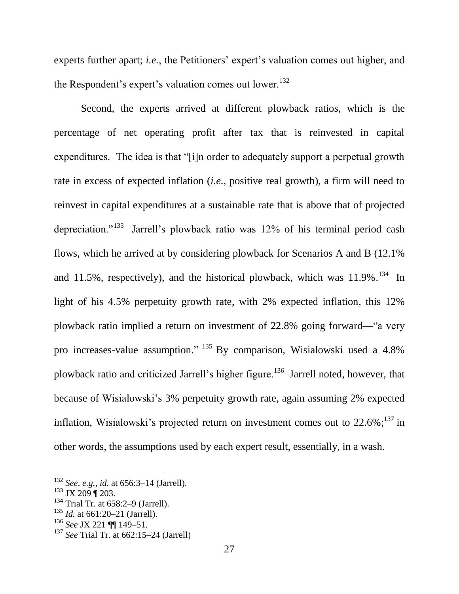experts further apart; *i.e.*, the Petitioners' expert's valuation comes out higher, and the Respondent's expert's valuation comes out lower.<sup>132</sup>

Second, the experts arrived at different plowback ratios, which is the percentage of net operating profit after tax that is reinvested in capital expenditures. The idea is that "[i]n order to adequately support a perpetual growth rate in excess of expected inflation (*i.e.*, positive real growth), a firm will need to reinvest in capital expenditures at a sustainable rate that is above that of projected depreciation."<sup>133</sup> Jarrell's plowback ratio was 12% of his terminal period cash flows, which he arrived at by considering plowback for Scenarios A and B (12.1% and 11.5%, respectively), and the historical plowback, which was  $11.9\%$ .<sup>134</sup> In light of his 4.5% perpetuity growth rate, with 2% expected inflation, this 12% plowback ratio implied a return on investment of  $22.8\%$  going forward— "a very pro increases-value assumption."  $^{135}$  By comparison, Wisialowski used a 4.8% plowback ratio and criticized Jarrell's higher figure.<sup>136</sup> Jarrell noted, however, that because of Wisialowski's 3% perpetuity growth rate, again assuming 2% expected inflation, Wisialowski's projected return on investment comes out to  $22.6\%$ ;  $^{137}$  in other words, the assumptions used by each expert result, essentially, in a wash.

<sup>132</sup> *See, e.g.*, *id.* at 656:3–14 (Jarrell).

 $133$  JX 209 | 203.

 $134$  Trial Tr. at 658:2-9 (Jarrell).

<sup>135</sup> *Id.* at 661:20–21 (Jarrell).

<sup>136</sup> *See* JX 221 ¶¶ 149–51.

<sup>137</sup> *See* Trial Tr. at 662:15–24 (Jarrell)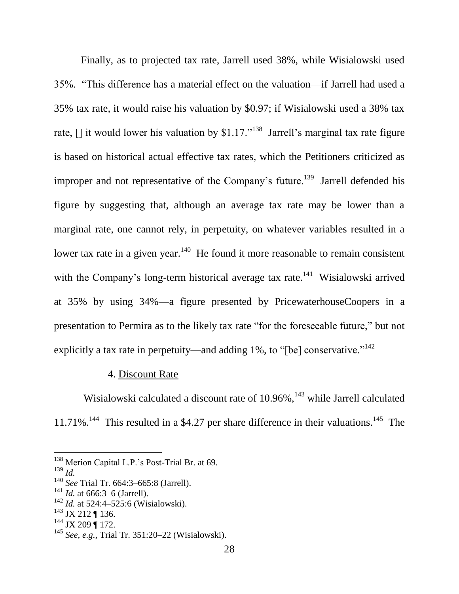Finally, as to projected tax rate, Jarrell used 38%, while Wisialowski used 35%. ―This difference has a material effect on the valuation—if Jarrell had used a 35% tax rate, it would raise his valuation by \$0.97; if Wisialowski used a 38% tax rate,  $\lceil \cdot \rceil$  it would lower his valuation by \$1.17."<sup>138</sup> Jarrell's marginal tax rate figure is based on historical actual effective tax rates, which the Petitioners criticized as improper and not representative of the Company's future.<sup>139</sup> Jarrell defended his figure by suggesting that, although an average tax rate may be lower than a marginal rate, one cannot rely, in perpetuity, on whatever variables resulted in a lower tax rate in a given year.<sup>140</sup> He found it more reasonable to remain consistent with the Company's long-term historical average tax rate.<sup>141</sup> Wisialowski arrived at 35% by using 34%—a figure presented by PricewaterhouseCoopers in a presentation to Permira as to the likely tax rate "for the foreseeable future," but not explicitly a tax rate in perpetuity—and adding 1%, to "[be] conservative."<sup>142</sup>

### 4. Discount Rate

Wisialowski calculated a discount rate of 10.96%,<sup>143</sup> while Jarrell calculated 11.71%.<sup>144</sup> This resulted in a \$4.27 per share difference in their valuations.<sup>145</sup> The

l

<sup>144</sup> JX 209 | 172.

<sup>&</sup>lt;sup>138</sup> Merion Capital L.P.'s Post-Trial Br. at 69.

<sup>139</sup> *Id.*

<sup>140</sup> *See* Trial Tr. 664:3–665:8 (Jarrell).

<sup>141</sup> *Id.* at 666:3–6 (Jarrell).

<sup>&</sup>lt;sup>142</sup> *Id.* at 524:4–525:6 (Wisialowski).

 $143$  JX 212 ¶ 136.

<sup>145</sup> *See, e.g.,* Trial Tr. 351:20–22 (Wisialowski).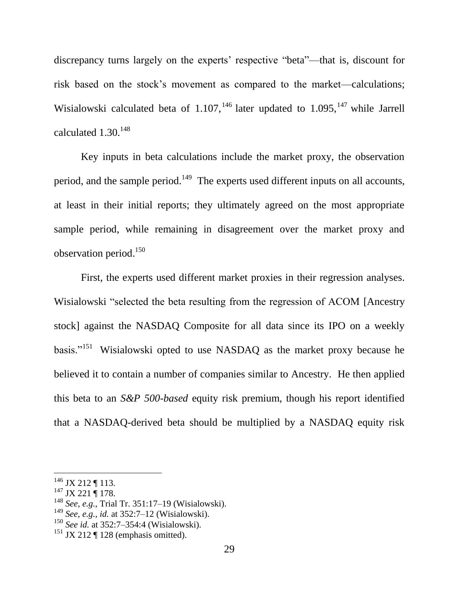discrepancy turns largely on the experts' respective "beta"—that is, discount for risk based on the stock's movement as compared to the market—calculations; Wisialowski calculated beta of  $1.107$ ,  $^{146}$  later updated to  $1.095$ ,  $^{147}$  while Jarrell calculated  $1.30.^{148}$ 

Key inputs in beta calculations include the market proxy, the observation period, and the sample period.<sup>149</sup> The experts used different inputs on all accounts, at least in their initial reports; they ultimately agreed on the most appropriate sample period, while remaining in disagreement over the market proxy and observation period. 150

First, the experts used different market proxies in their regression analyses. Wisialowski "selected the beta resulting from the regression of ACOM [Ancestry] stock] against the NASDAQ Composite for all data since its IPO on a weekly basis."<sup>151</sup> Wisialowski opted to use NASDAQ as the market proxy because he believed it to contain a number of companies similar to Ancestry. He then applied this beta to an *S&P 500-based* equity risk premium, though his report identified that a NASDAQ-derived beta should be multiplied by a NASDAQ equity risk

 $146$  JX 212 ¶ 113.

 $147$  JX 221 | 178.

<sup>148</sup> *See, e.g.,* Trial Tr. 351:17–19 (Wisialowski).

<sup>149</sup> *See, e.g., id.* at 352:7–12 (Wisialowski).

<sup>150</sup> *See id.* at 352:7–354:4 (Wisialowski).

 $151$  JX 212 ¶ 128 (emphasis omitted).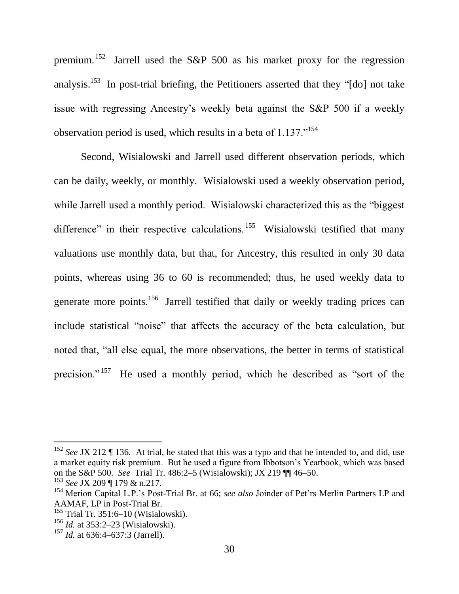premium.<sup>152</sup> Jarrell used the S&P 500 as his market proxy for the regression analysis.<sup>153</sup> In post-trial briefing, the Petitioners asserted that they "[do] not take issue with regressing Ancestry's weekly beta against the S&P 500 if a weekly observation period is used, which results in a beta of  $1.137$ .<sup>154</sup>

Second, Wisialowski and Jarrell used different observation periods, which can be daily, weekly, or monthly. Wisialowski used a weekly observation period, while Jarrell used a monthly period. Wisialowski characterized this as the "biggest" difference" in their respective calculations.<sup>155</sup> Wisialowski testified that many valuations use monthly data, but that, for Ancestry, this resulted in only 30 data points, whereas using 36 to 60 is recommended; thus, he used weekly data to generate more points.<sup>156</sup> Jarrell testified that daily or weekly trading prices can include statistical "noise" that affects the accuracy of the beta calculation, but noted that, "all else equal, the more observations, the better in terms of statistical precision."<sup>157</sup> He used a monthly period, which he described as "sort of the

<sup>152</sup> *See* JX 212 ¶ 136. At trial, he stated that this was a typo and that he intended to, and did, use a market equity risk premium. But he used a figure from Ibbotson's Yearbook, which was based on the S&P 500. *See* Trial Tr. 486:2–5 (Wisialowski); JX 219 ¶¶ 46–50.

<sup>153</sup> *See* JX 209 ¶ 179 & n.217.

<sup>154</sup> Merion Capital L.P.'s Post-Trial Br. at 66; *see also* Joinder of Pet'rs Merlin Partners LP and AAMAF, LP in Post-Trial Br.

 $155$  Trial Tr. 351:6–10 (Wisialowski).

<sup>156</sup> *Id.* at 353:2–23 (Wisialowski).

<sup>157</sup> *Id.* at 636:4–637:3 (Jarrell).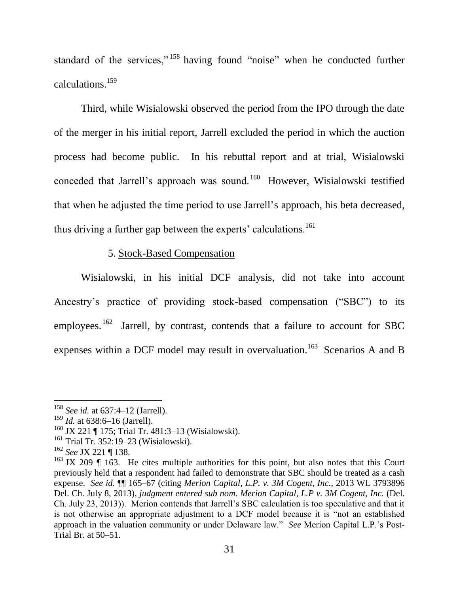standard of the services," $158$  having found "noise" when he conducted further calculations.<sup>159</sup>

Third, while Wisialowski observed the period from the IPO through the date of the merger in his initial report, Jarrell excluded the period in which the auction process had become public. In his rebuttal report and at trial, Wisialowski conceded that Jarrell's approach was sound.<sup>160</sup> However, Wisialowski testified that when he adjusted the time period to use Jarrell's approach, his beta decreased, thus driving a further gap between the experts' calculations.<sup>161</sup>

## 5. Stock-Based Compensation

Wisialowski, in his initial DCF analysis, did not take into account Ancestry's practice of providing stock-based compensation ("SBC") to its employees.  $162$  Jarrell, by contrast, contends that a failure to account for SBC expenses within a DCF model may result in overvaluation.<sup>163</sup> Scenarios A and B

<sup>158</sup> *See id.* at 637:4–12 (Jarrell).

<sup>&</sup>lt;sup>159</sup> *Id.* at 638:6–16 (Jarrell).

<sup>160</sup> JX 221 ¶ 175; Trial Tr. 481:3–13 (Wisialowski).

<sup>161</sup> Trial Tr. 352:19–23 (Wisialowski).

<sup>162</sup> *See* JX 221 ¶ 138.

<sup>&</sup>lt;sup>163</sup> JX 209  $\parallel$  163. He cites multiple authorities for this point, but also notes that this Court previously held that a respondent had failed to demonstrate that SBC should be treated as a cash expense. *See id.* ¶¶ 165–67 (citing *Merion Capital, L.P. v. 3M Cogent, Inc.*, 2013 WL 3793896 Del. Ch. July 8, 2013), *judgment entered sub nom. Merion Capital, L.P v. 3M Cogent, Inc.* (Del. Ch. July 23, 2013)). Merion contends that Jarrell's SBC calculation is too speculative and that it is not otherwise an appropriate adjustment to a DCF model because it is "not an established approach in the valuation community or under Delaware law." See Merion Capital L.P.'s Post-Trial Br. at 50–51.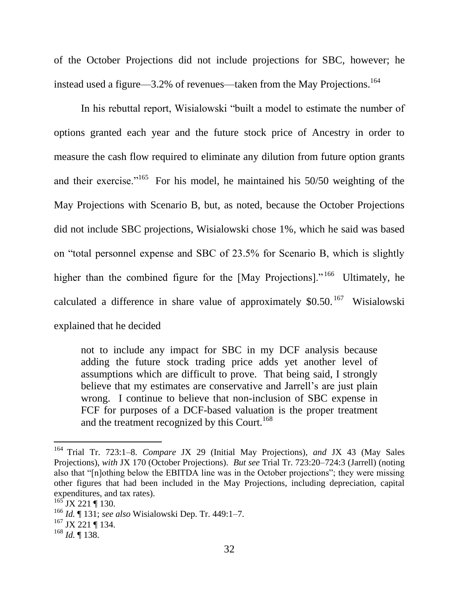of the October Projections did not include projections for SBC, however; he instead used a figure—3.2% of revenues—taken from the May Projections. 164

In his rebuttal report, Wisialowski "built a model to estimate the number of options granted each year and the future stock price of Ancestry in order to measure the cash flow required to eliminate any dilution from future option grants and their exercise."<sup>165</sup> For his model, he maintained his  $50/50$  weighting of the May Projections with Scenario B, but, as noted, because the October Projections did not include SBC projections, Wisialowski chose 1%, which he said was based on "total personnel expense and SBC of 23.5% for Scenario B, which is slightly higher than the combined figure for the [May Projections]."<sup>166</sup> Ultimately, he calculated a difference in share value of approximately  $$0.50$ .<sup>167</sup> Wisialowski explained that he decided

not to include any impact for SBC in my DCF analysis because adding the future stock trading price adds yet another level of assumptions which are difficult to prove. That being said, I strongly believe that my estimates are conservative and Jarrell's are just plain wrong. I continue to believe that non-inclusion of SBC expense in FCF for purposes of a DCF-based valuation is the proper treatment and the treatment recognized by this Court.<sup>168</sup>

<sup>164</sup> Trial Tr. 723:1–8. *Compare* JX 29 (Initial May Projections), *and* JX 43 (May Sales Projections), *with* JX 170 (October Projections). *But see* Trial Tr. 723:20–724:3 (Jarrell) (noting also that "[n]othing below the EBITDA line was in the October projections"; they were missing other figures that had been included in the May Projections, including depreciation, capital expenditures, and tax rates).

 $165$  JX 221 ¶ 130.

<sup>166</sup> *Id.* ¶ 131; *see also* Wisialowski Dep. Tr. 449:1–7.

 $167$  JX 221 ¶ 134.

<sup>168</sup> *Id.* ¶ 138.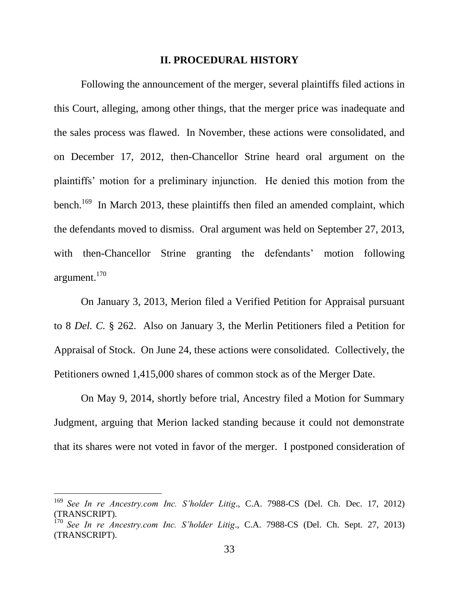#### **II. PROCEDURAL HISTORY**

Following the announcement of the merger, several plaintiffs filed actions in this Court, alleging, among other things, that the merger price was inadequate and the sales process was flawed. In November, these actions were consolidated, and on December 17, 2012, then-Chancellor Strine heard oral argument on the plaintiffs' motion for a preliminary injunction. He denied this motion from the bench.<sup>169</sup> In March 2013, these plaintiffs then filed an amended complaint, which the defendants moved to dismiss. Oral argument was held on September 27, 2013, with then-Chancellor Strine granting the defendants' motion following argument.<sup>170</sup>

On January 3, 2013, Merion filed a Verified Petition for Appraisal pursuant to 8 *Del. C.* § 262. Also on January 3, the Merlin Petitioners filed a Petition for Appraisal of Stock. On June 24, these actions were consolidated. Collectively, the Petitioners owned 1,415,000 shares of common stock as of the Merger Date.

On May 9, 2014, shortly before trial, Ancestry filed a Motion for Summary Judgment, arguing that Merion lacked standing because it could not demonstrate that its shares were not voted in favor of the merger. I postponed consideration of

<sup>169</sup> *See In re Ancestry.com Inc. S'holder Litig*., C.A. 7988-CS (Del. Ch. Dec. 17, 2012) (TRANSCRIPT).

<sup>170</sup> *See In re Ancestry.com Inc. S'holder Litig*., C.A. 7988-CS (Del. Ch. Sept. 27, 2013) (TRANSCRIPT).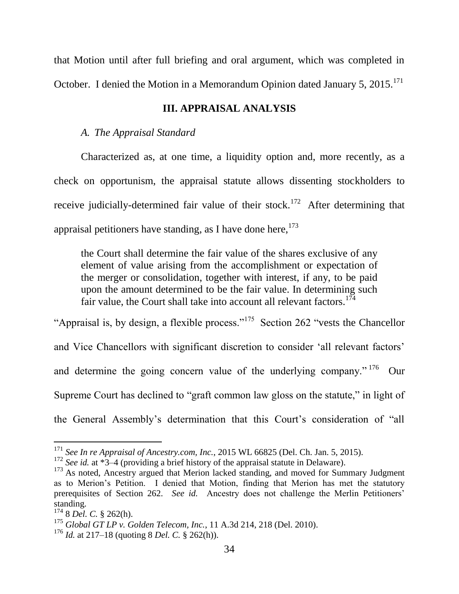that Motion until after full briefing and oral argument, which was completed in October. I denied the Motion in a Memorandum Opinion dated January 5,  $2015$ <sup>171</sup>

### **III. APPRAISAL ANALYSIS**

### *A. The Appraisal Standard*

Characterized as, at one time, a liquidity option and, more recently, as a check on opportunism, the appraisal statute allows dissenting stockholders to receive judicially-determined fair value of their stock.<sup>172</sup> After determining that appraisal petitioners have standing, as I have done here,  $173$ 

the Court shall determine the fair value of the shares exclusive of any element of value arising from the accomplishment or expectation of the merger or consolidation, together with interest, if any, to be paid upon the amount determined to be the fair value. In determining such fair value, the Court shall take into account all relevant factors.<sup>174</sup>

"Appraisal is, by design, a flexible process."<sup>175</sup> Section 262 "vests the Chancellor and Vice Chancellors with significant discretion to consider ‗all relevant factors' and determine the going concern value of the underlying company." $176$  Our Supreme Court has declined to "graft common law gloss on the statute," in light of the General Assembly's determination that this Court's consideration of "all

<sup>171</sup> *See In re Appraisal of Ancestry.com, Inc.*, 2015 WL 66825 (Del. Ch. Jan. 5, 2015).

<sup>&</sup>lt;sup>172</sup> *See id.* at  $*3-4$  (providing a brief history of the appraisal statute in Delaware).

 $173$  As noted, Ancestry argued that Merion lacked standing, and moved for Summary Judgment as to Merion's Petition. I denied that Motion, finding that Merion has met the statutory prerequisites of Section 262. *See id.* Ancestry does not challenge the Merlin Petitioners' standing.

<sup>174</sup> 8 *Del. C.* § 262(h).

<sup>175</sup> *Global GT LP v. Golden Telecom, Inc.*, 11 A.3d 214, 218 (Del. 2010).

<sup>176</sup> *Id.* at 217–18 (quoting 8 *Del. C.* § 262(h)).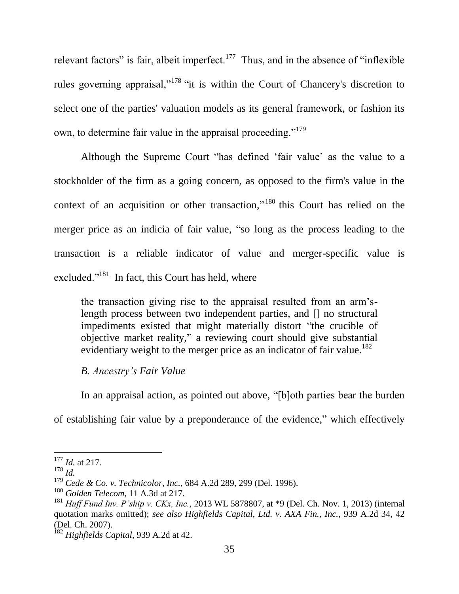relevant factors" is fair, albeit imperfect.<sup>177</sup> Thus, and in the absence of "inflexible" rules governing appraisal," $178$ " "it is within the Court of Chancery's discretion to select one of the parties' valuation models as its general framework, or fashion its own, to determine fair value in the appraisal proceeding."<sup>179</sup>

Although the Supreme Court "has defined 'fair value' as the value to a stockholder of the firm as a going concern, as opposed to the firm's value in the context of an acquisition or other transaction,"<sup>180</sup> this Court has relied on the merger price as an indicia of fair value, "so long as the process leading to the transaction is a reliable indicator of value and merger-specific value is excluded."<sup>181</sup> In fact, this Court has held, where

the transaction giving rise to the appraisal resulted from an arm'slength process between two independent parties, and [] no structural impediments existed that might materially distort "the crucible of objective market reality," a reviewing court should give substantial evidentiary weight to the merger price as an indicator of fair value.<sup>182</sup>

### *B. Ancestry's Fair Value*

In an appraisal action, as pointed out above, "[b]oth parties bear the burden

of establishing fair value by a preponderance of the evidence," which effectively

<sup>177</sup> *Id.* at 217.

<sup>178</sup> *Id.*

<sup>179</sup> *Cede & Co. v. Technicolor, Inc.*, 684 A.2d 289, 299 (Del. 1996).

<sup>180</sup> *Golden Telecom*, 11 A.3d at 217.

<sup>181</sup> *Huff Fund Inv. P'ship v. CKx, Inc.*, 2013 WL 5878807, at \*9 (Del. Ch. Nov. 1, 2013) (internal quotation marks omitted); *see also Highfields Capital, Ltd. v. AXA Fin., Inc.*, 939 A.2d 34, 42 (Del. Ch. 2007).

<sup>182</sup> *Highfields Capital*, 939 A.2d at 42.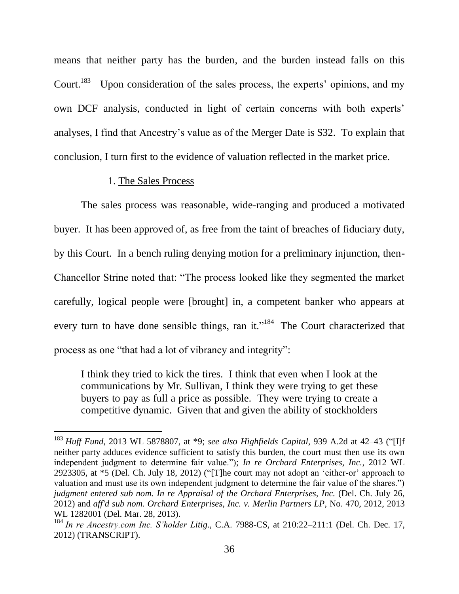means that neither party has the burden, and the burden instead falls on this Court.<sup>183</sup> Upon consideration of the sales process, the experts' opinions, and my own DCF analysis, conducted in light of certain concerns with both experts' analyses, I find that Ancestry's value as of the Merger Date is \$32. To explain that conclusion, I turn first to the evidence of valuation reflected in the market price.

#### 1. The Sales Process

 $\overline{a}$ 

The sales process was reasonable, wide-ranging and produced a motivated buyer. It has been approved of, as free from the taint of breaches of fiduciary duty, by this Court. In a bench ruling denying motion for a preliminary injunction, then-Chancellor Strine noted that: "The process looked like they segmented the market carefully, logical people were [brought] in, a competent banker who appears at every turn to have done sensible things, ran it."<sup>184</sup> The Court characterized that process as one "that had a lot of vibrancy and integrity":

I think they tried to kick the tires. I think that even when I look at the communications by Mr. Sullivan, I think they were trying to get these buyers to pay as full a price as possible. They were trying to create a competitive dynamic. Given that and given the ability of stockholders

<sup>&</sup>lt;sup>183</sup> *Huff Fund*, 2013 WL 5878807, at \*9; *see also Highfields Capital*, 939 A.2d at 42–43 ("[I]f neither party adduces evidence sufficient to satisfy this burden, the court must then use its own independent judgment to determine fair value."); *In re Orchard Enterprises, Inc.*, 2012 WL 2923305, at  $*5$  (Del. Ch. July 18, 2012) ("[T]he court may not adopt an 'either-or' approach to valuation and must use its own independent judgment to determine the fair value of the shares.") *judgment entered sub nom. In re Appraisal of the Orchard Enterprises, Inc.* (Del. Ch. July 26, 2012) and *aff'd sub nom. Orchard Enterprises, Inc. v. Merlin Partners LP*, No. 470, 2012, 2013 WL 1282001 (Del. Mar. 28, 2013).

<sup>&</sup>lt;sup>184</sup> In re Ancestry.com Inc. S'holder Litig., C.A. 7988-CS, at 210:22-211:1 (Del. Ch. Dec. 17, 2012) (TRANSCRIPT).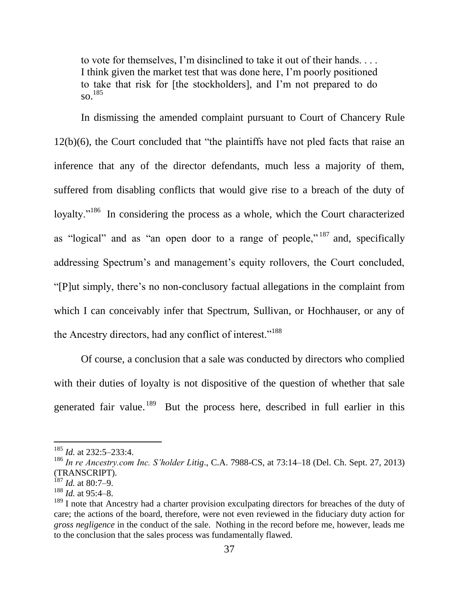to vote for themselves, I'm disinclined to take it out of their hands. . . . I think given the market test that was done here, I'm poorly positioned to take that risk for [the stockholders], and I'm not prepared to do so. 185

In dismissing the amended complaint pursuant to Court of Chancery Rule  $12(b)(6)$ , the Court concluded that "the plaintiffs have not pled facts that raise an inference that any of the director defendants, much less a majority of them, suffered from disabling conflicts that would give rise to a breach of the duty of loyalty."<sup>186</sup> In considering the process as a whole, which the Court characterized as "logical" and as "an open door to a range of people,"<sup>187</sup> and, specifically addressing Spectrum's and management's equity rollovers, the Court concluded, ―[P]ut simply, there's no non-conclusory factual allegations in the complaint from which I can conceivably infer that Spectrum, Sullivan, or Hochhauser, or any of the Ancestry directors, had any conflict of interest."<sup>188</sup>

Of course, a conclusion that a sale was conducted by directors who complied with their duties of loyalty is not dispositive of the question of whether that sale generated fair value.<sup>189</sup> But the process here, described in full earlier in this

<sup>185</sup> *Id.* at 232:5–233:4.

<sup>186</sup> *In re Ancestry.com Inc. S'holder Litig*., C.A. 7988-CS, at 73:14–18 (Del. Ch. Sept. 27, 2013) (TRANSCRIPT).

<sup>187</sup> *Id.* at 80:7–9.

<sup>188</sup> *Id.* at 95:4–8.

 $189$  I note that Ancestry had a charter provision exculpating directors for breaches of the duty of care; the actions of the board, therefore, were not even reviewed in the fiduciary duty action for *gross negligence* in the conduct of the sale. Nothing in the record before me, however, leads me to the conclusion that the sales process was fundamentally flawed.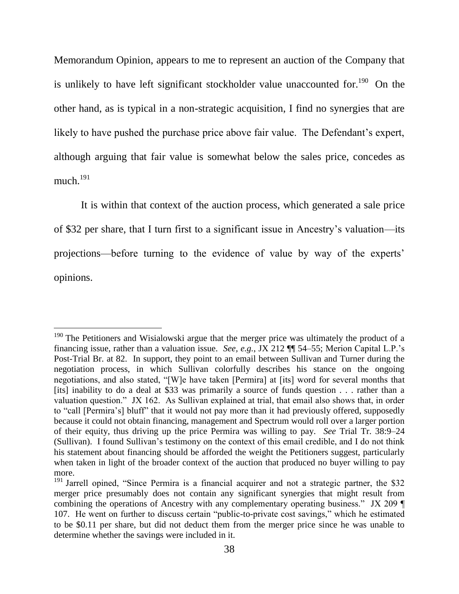Memorandum Opinion, appears to me to represent an auction of the Company that is unlikely to have left significant stockholder value unaccounted for.<sup>190</sup> On the other hand, as is typical in a non-strategic acquisition, I find no synergies that are likely to have pushed the purchase price above fair value. The Defendant's expert, although arguing that fair value is somewhat below the sales price, concedes as much. $^{191}$ 

It is within that context of the auction process, which generated a sale price of \$32 per share, that I turn first to a significant issue in Ancestry's valuation—its projections—before turning to the evidence of value by way of the experts' opinions.

 $190$  The Petitioners and Wisialowski argue that the merger price was ultimately the product of a financing issue, rather than a valuation issue. *See, e.g.*, JX 212 ¶¶ 54–55; Merion Capital L.P.'s Post-Trial Br. at 82. In support, they point to an email between Sullivan and Turner during the negotiation process, in which Sullivan colorfully describes his stance on the ongoing negotiations, and also stated, "[W]e have taken [Permira] at [its] word for several months that [its] inability to do a deal at \$33 was primarily a source of funds question . . . rather than a valuation question." JX 162. As Sullivan explained at trial, that email also shows that, in order to "call [Permira's] bluff" that it would not pay more than it had previously offered, supposedly because it could not obtain financing, management and Spectrum would roll over a larger portion of their equity, thus driving up the price Permira was willing to pay. *See* Trial Tr. 38:9–24 (Sullivan). I found Sullivan's testimony on the context of this email credible, and I do not think his statement about financing should be afforded the weight the Petitioners suggest, particularly when taken in light of the broader context of the auction that produced no buyer willing to pay more.

<sup>&</sup>lt;sup>191</sup> Jarrell opined, "Since Permira is a financial acquirer and not a strategic partner, the \$32 merger price presumably does not contain any significant synergies that might result from combining the operations of Ancestry with any complementary operating business." JX 209  $\P$ 107. He went on further to discuss certain "public-to-private cost savings," which he estimated to be \$0.11 per share, but did not deduct them from the merger price since he was unable to determine whether the savings were included in it.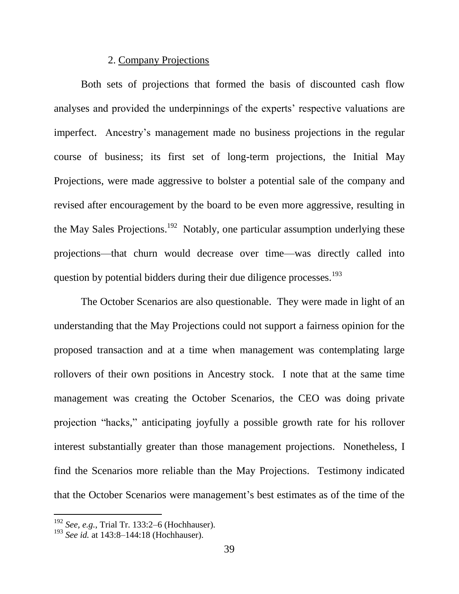## 2. Company Projections

Both sets of projections that formed the basis of discounted cash flow analyses and provided the underpinnings of the experts' respective valuations are imperfect. Ancestry's management made no business projections in the regular course of business; its first set of long-term projections, the Initial May Projections, were made aggressive to bolster a potential sale of the company and revised after encouragement by the board to be even more aggressive, resulting in the May Sales Projections.<sup>192</sup> Notably, one particular assumption underlying these projections—that churn would decrease over time—was directly called into question by potential bidders during their due diligence processes.<sup>193</sup>

The October Scenarios are also questionable. They were made in light of an understanding that the May Projections could not support a fairness opinion for the proposed transaction and at a time when management was contemplating large rollovers of their own positions in Ancestry stock. I note that at the same time management was creating the October Scenarios, the CEO was doing private projection "hacks," anticipating joyfully a possible growth rate for his rollover interest substantially greater than those management projections. Nonetheless, I find the Scenarios more reliable than the May Projections. Testimony indicated that the October Scenarios were management's best estimates as of the time of the

<sup>192</sup> *See, e.g.*, Trial Tr. 133:2–6 (Hochhauser).

<sup>193</sup> *See id.* at 143:8–144:18 (Hochhauser).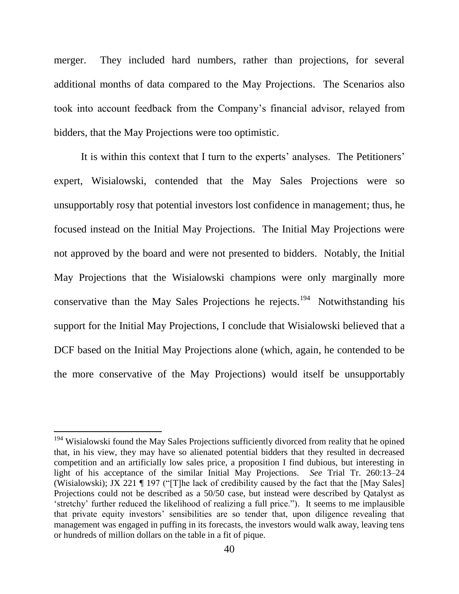merger. They included hard numbers, rather than projections, for several additional months of data compared to the May Projections. The Scenarios also took into account feedback from the Company's financial advisor, relayed from bidders, that the May Projections were too optimistic.

It is within this context that I turn to the experts' analyses. The Petitioners' expert, Wisialowski, contended that the May Sales Projections were so unsupportably rosy that potential investors lost confidence in management; thus, he focused instead on the Initial May Projections. The Initial May Projections were not approved by the board and were not presented to bidders. Notably, the Initial May Projections that the Wisialowski champions were only marginally more conservative than the May Sales Projections he rejects.<sup>194</sup> Notwithstanding his support for the Initial May Projections, I conclude that Wisialowski believed that a DCF based on the Initial May Projections alone (which, again, he contended to be the more conservative of the May Projections) would itself be unsupportably

<sup>&</sup>lt;sup>194</sup> Wisialowski found the May Sales Projections sufficiently divorced from reality that he opined that, in his view, they may have so alienated potential bidders that they resulted in decreased competition and an artificially low sales price, a proposition I find dubious, but interesting in light of his acceptance of the similar Initial May Projections. *See* Trial Tr. 260:13–24 (Wisialowski); JX 221  $\P$  197 ("[T]he lack of credibility caused by the fact that the [May Sales] Projections could not be described as a 50/50 case, but instead were described by Qatalyst as ‗stretchy' further reduced the likelihood of realizing a full price.‖). It seems to me implausible that private equity investors' sensibilities are so tender that, upon diligence revealing that management was engaged in puffing in its forecasts, the investors would walk away, leaving tens or hundreds of million dollars on the table in a fit of pique.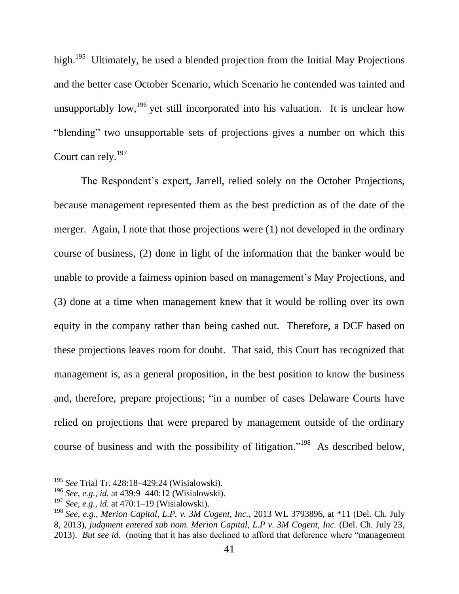high.<sup>195</sup> Ultimately, he used a blended projection from the Initial May Projections and the better case October Scenario, which Scenario he contended was tainted and unsupportably low, <sup>196</sup> yet still incorporated into his valuation. It is unclear how "blending" two unsupportable sets of projections gives a number on which this Court can rely.<sup>197</sup>

The Respondent's expert, Jarrell, relied solely on the October Projections, because management represented them as the best prediction as of the date of the merger. Again, I note that those projections were (1) not developed in the ordinary course of business, (2) done in light of the information that the banker would be unable to provide a fairness opinion based on management's May Projections, and (3) done at a time when management knew that it would be rolling over its own equity in the company rather than being cashed out. Therefore, a DCF based on these projections leaves room for doubt. That said, this Court has recognized that management is, as a general proposition, in the best position to know the business and, therefore, prepare projections; "in a number of cases Delaware Courts have relied on projections that were prepared by management outside of the ordinary course of business and with the possibility of litigation."<sup>198</sup> As described below,

<span id="page-41-0"></span><sup>195</sup> *See* Trial Tr. 428:18–429:24 (Wisialowski).

<sup>196</sup> *See, e.g., id.* at 439:9–440:12 (Wisialowski).

<sup>197</sup> *See, e.g., id.* at 470:1–19 (Wisialowski).

<sup>198</sup> *See, e.g., Merion Capital, L.P. v. 3M Cogent, Inc.*, 2013 WL 3793896, at \*11 (Del. Ch. July 8, 2013), *judgment entered sub nom. Merion Capital, L.P v. 3M Cogent, Inc.* (Del. Ch. July 23, 2013). *But see id.* (noting that it has also declined to afford that deference where "management"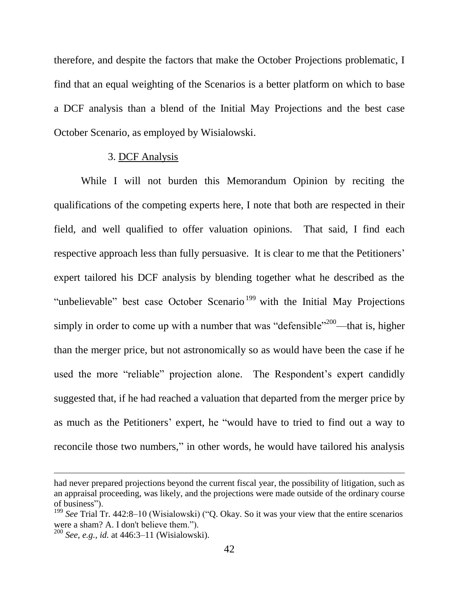therefore, and despite the factors that make the October Projections problematic, I find that an equal weighting of the Scenarios is a better platform on which to base a DCF analysis than a blend of the Initial May Projections and the best case October Scenario, as employed by Wisialowski.

### 3. DCF Analysis

While I will not burden this Memorandum Opinion by reciting the qualifications of the competing experts here, I note that both are respected in their field, and well qualified to offer valuation opinions. That said, I find each respective approach less than fully persuasive. It is clear to me that the Petitioners' expert tailored his DCF analysis by blending together what he described as the "unbelievable" best case October Scenario<sup>199</sup> with the Initial May Projections simply in order to come up with a number that was "defensible"<sup>200</sup>—that is, higher than the merger price, but not astronomically so as would have been the case if he used the more "reliable" projection alone. The Respondent's expert candidly suggested that, if he had reached a valuation that departed from the merger price by as much as the Petitioners' expert, he "would have to tried to find out a way to reconcile those two numbers," in other words, he would have tailored his analysis

had never prepared projections beyond the current fiscal year, the possibility of litigation, such as an appraisal proceeding, was likely, and the projections were made outside of the ordinary course of business").

 $199$  *See* Trial Tr. 442:8–10 (Wisialowski) ("Q. Okay. So it was your view that the entire scenarios were a sham? A. I don't believe them.").

<sup>200</sup> *See, e.g., id.* at 446:3–11 (Wisialowski).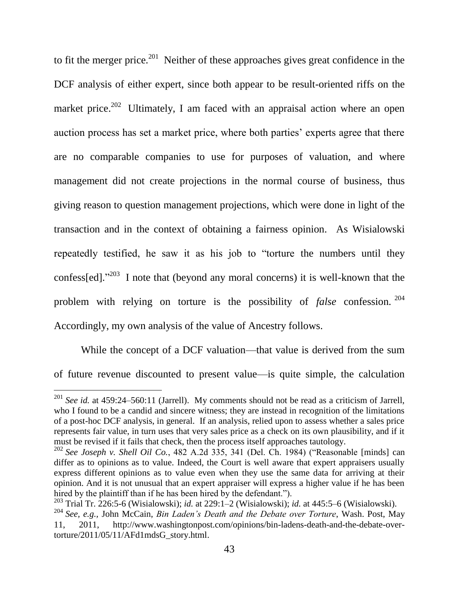to fit the merger price.<sup>201</sup> Neither of these approaches gives great confidence in the DCF analysis of either expert, since both appear to be result-oriented riffs on the market price.<sup>202</sup> Ultimately, I am faced with an appraisal action where an open auction process has set a market price, where both parties' experts agree that there are no comparable companies to use for purposes of valuation, and where management did not create projections in the normal course of business, thus giving reason to question management projections, which were done in light of the transaction and in the context of obtaining a fairness opinion. As Wisialowski repeatedly testified, he saw it as his job to "torture the numbers until they confess[ed]. $1^{203}$  I note that (beyond any moral concerns) it is well-known that the problem with relying on torture is the possibility of *false* confession. 204 Accordingly, my own analysis of the value of Ancestry follows.

While the concept of a DCF valuation—that value is derived from the sum of future revenue discounted to present value—is quite simple, the calculation

<sup>201</sup> *See id.* at 459:24–560:11 (Jarrell). My comments should not be read as a criticism of Jarrell, who I found to be a candid and sincere witness; they are instead in recognition of the limitations of a post-hoc DCF analysis, in general. If an analysis, relied upon to assess whether a sales price represents fair value, in turn uses that very sales price as a check on its own plausibility, and if it must be revised if it fails that check, then the process itself approaches tautology.

 $202$  *See Joseph v. Shell Oil Co.*, 482 A.2d 335, 341 (Del. Ch. 1984) ("Reasonable [minds] can differ as to opinions as to value. Indeed, the Court is well aware that expert appraisers usually express different opinions as to value even when they use the same data for arriving at their opinion. And it is not unusual that an expert appraiser will express a higher value if he has been hired by the plaintiff than if he has been hired by the defendant.").

<sup>203</sup> Trial Tr. 226:5-6 (Wisialowski); *id.* at 229:1–2 (Wisialowski); *id.* at 445:5–6 (Wisialowski).

<sup>204</sup> *See, e.g.,* John McCain, *Bin Laden's Death and the Debate over Torture*, Wash. Post, May 11, 2011, http://www.washingtonpost.com/opinions/bin-ladens-death-and-the-debate-overtorture/2011/05/11/AFd1mdsG\_story.html.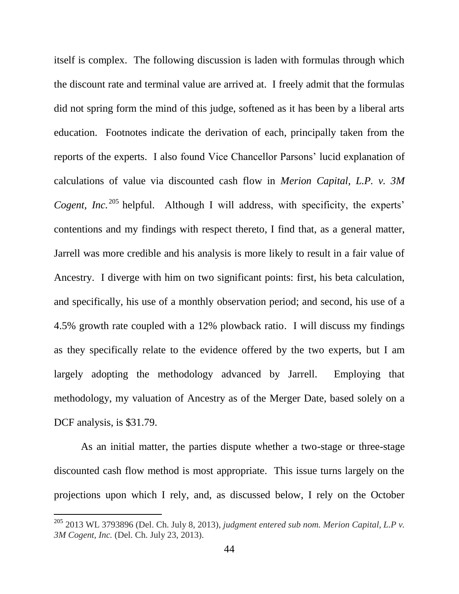itself is complex. The following discussion is laden with formulas through which the discount rate and terminal value are arrived at. I freely admit that the formulas did not spring form the mind of this judge, softened as it has been by a liberal arts education. Footnotes indicate the derivation of each, principally taken from the reports of the experts. I also found Vice Chancellor Parsons' lucid explanation of calculations of value via discounted cash flow in *Merion Capital, L.P. v. 3M Cogent, Inc.*<sup>205</sup> helpful. Although I will address, with specificity, the experts' contentions and my findings with respect thereto, I find that, as a general matter, Jarrell was more credible and his analysis is more likely to result in a fair value of Ancestry. I diverge with him on two significant points: first, his beta calculation, and specifically, his use of a monthly observation period; and second, his use of a 4.5% growth rate coupled with a 12% plowback ratio. I will discuss my findings as they specifically relate to the evidence offered by the two experts, but I am largely adopting the methodology advanced by Jarrell. Employing that methodology, my valuation of Ancestry as of the Merger Date, based solely on a DCF analysis, is \$31.79.

As an initial matter, the parties dispute whether a two-stage or three-stage discounted cash flow method is most appropriate. This issue turns largely on the projections upon which I rely, and, as discussed below, I rely on the October

<sup>205</sup> 2013 WL 3793896 (Del. Ch. July 8, 2013), *judgment entered sub nom. Merion Capital, L.P v. 3M Cogent, Inc.* (Del. Ch. July 23, 2013).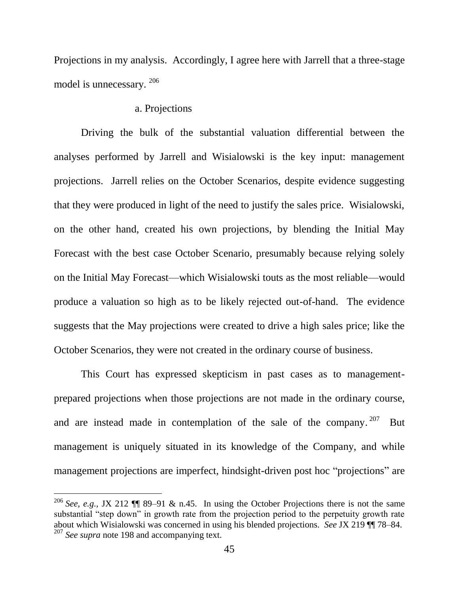Projections in my analysis. Accordingly, I agree here with Jarrell that a three-stage model is unnecessary. 206

#### a. Projections

Driving the bulk of the substantial valuation differential between the analyses performed by Jarrell and Wisialowski is the key input: management projections. Jarrell relies on the October Scenarios, despite evidence suggesting that they were produced in light of the need to justify the sales price. Wisialowski, on the other hand, created his own projections, by blending the Initial May Forecast with the best case October Scenario, presumably because relying solely on the Initial May Forecast—which Wisialowski touts as the most reliable—would produce a valuation so high as to be likely rejected out-of-hand. The evidence suggests that the May projections were created to drive a high sales price; like the October Scenarios, they were not created in the ordinary course of business.

This Court has expressed skepticism in past cases as to managementprepared projections when those projections are not made in the ordinary course, and are instead made in contemplation of the sale of the company.  $207$  But management is uniquely situated in its knowledge of the Company, and while management projections are imperfect, hindsight-driven post hoc "projections" are

<sup>&</sup>lt;sup>206</sup> *See, e.g., JX* 212  $\P$  89–91 & n.45. In using the October Projections there is not the same substantial "step down" in growth rate from the projection period to the perpetuity growth rate about which Wisialowski was concerned in using his blended projections. *See* JX 219 ¶¶ 78–84. <sup>207</sup> *See supra* note [198](#page-41-0) and accompanying text.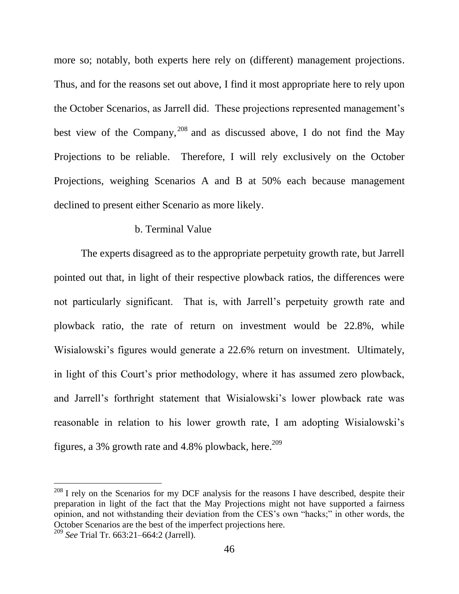more so; notably, both experts here rely on (different) management projections. Thus, and for the reasons set out above, I find it most appropriate here to rely upon the October Scenarios, as Jarrell did. These projections represented management's best view of the Company,  $^{208}$  and as discussed above, I do not find the May Projections to be reliable. Therefore, I will rely exclusively on the October Projections, weighing Scenarios A and B at 50% each because management declined to present either Scenario as more likely.

### b. Terminal Value

The experts disagreed as to the appropriate perpetuity growth rate, but Jarrell pointed out that, in light of their respective plowback ratios, the differences were not particularly significant. That is, with Jarrell's perpetuity growth rate and plowback ratio, the rate of return on investment would be 22.8%, while Wisialowski's figures would generate a 22.6% return on investment. Ultimately, in light of this Court's prior methodology, where it has assumed zero plowback, and Jarrell's forthright statement that Wisialowski's lower plowback rate was reasonable in relation to his lower growth rate, I am adopting Wisialowski's figures, a 3% growth rate and 4.8% plowback, here.<sup>209</sup>

 $208$  I rely on the Scenarios for my DCF analysis for the reasons I have described, despite their preparation in light of the fact that the May Projections might not have supported a fairness opinion, and not withstanding their deviation from the CES's own "hacks;" in other words, the October Scenarios are the best of the imperfect projections here.

<sup>209</sup> *See* Trial Tr. 663:21–664:2 (Jarrell).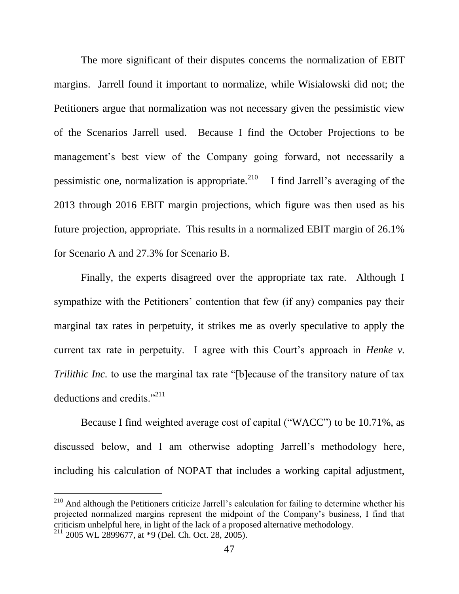The more significant of their disputes concerns the normalization of EBIT margins. Jarrell found it important to normalize, while Wisialowski did not; the Petitioners argue that normalization was not necessary given the pessimistic view of the Scenarios Jarrell used. Because I find the October Projections to be management's best view of the Company going forward, not necessarily a pessimistic one, normalization is appropriate. $^{210}$  I find Jarrell's averaging of the 2013 through 2016 EBIT margin projections, which figure was then used as his future projection, appropriate. This results in a normalized EBIT margin of 26.1% for Scenario A and 27.3% for Scenario B.

Finally, the experts disagreed over the appropriate tax rate. Although I sympathize with the Petitioners' contention that few (if any) companies pay their marginal tax rates in perpetuity, it strikes me as overly speculative to apply the current tax rate in perpetuity. I agree with this Court's approach in *Henke v. Trilithic Inc.* to use the marginal tax rate "[b]ecause of the transitory nature of tax deductions and credits. $^{211}$ 

Because I find weighted average cost of capital ("WACC") to be 10.71%, as discussed below, and I am otherwise adopting Jarrell's methodology here, including his calculation of NOPAT that includes a working capital adjustment,

<sup>&</sup>lt;sup>210</sup> And although the Petitioners criticize Jarrell's calculation for failing to determine whether his projected normalized margins represent the midpoint of the Company's business, I find that criticism unhelpful here, in light of the lack of a proposed alternative methodology. <sup>211</sup> 2005 WL 2899677, at \*9 (Del. Ch. Oct. 28, 2005).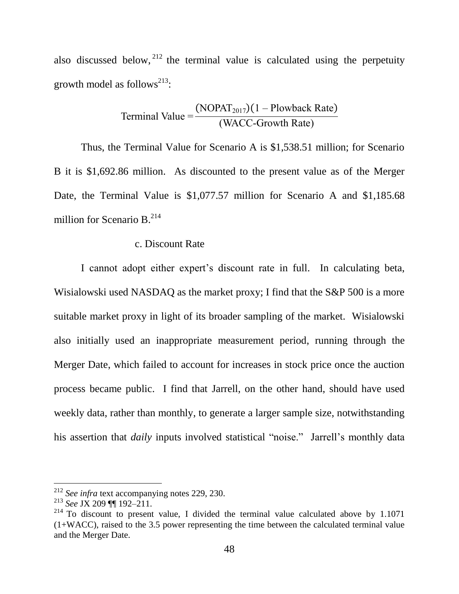also discussed below,  $2^{12}$  the terminal value is calculated using the perpetuity growth model as follows<sup>213</sup>:

Terminal Value = 
$$
\frac{(NOPATH_{2017})(1 - Plowback Rate)}{(WACC-Growth Rate)}
$$

Thus, the Terminal Value for Scenario A is \$1,538.51 million; for Scenario B it is \$1,692.86 million. As discounted to the present value as of the Merger Date, the Terminal Value is \$1,077.57 million for Scenario A and \$1,185.68 million for Scenario B. 214

#### c. Discount Rate

I cannot adopt either expert's discount rate in full. In calculating beta, Wisialowski used NASDAQ as the market proxy; I find that the S&P 500 is a more suitable market proxy in light of its broader sampling of the market. Wisialowski also initially used an inappropriate measurement period, running through the Merger Date, which failed to account for increases in stock price once the auction process became public. I find that Jarrell, on the other hand, should have used weekly data, rather than monthly, to generate a larger sample size, notwithstanding his assertion that *daily* inputs involved statistical "noise." Jarrell's monthly data

<sup>212</sup> *See infra* text accompanying notes [229,](#page-53-0) [230.](#page-54-0)

<sup>213</sup> *See* JX 209 ¶¶ 192–211.

 $^{214}$  To discount to present value, I divided the terminal value calculated above by 1.1071 (1+WACC), raised to the 3.5 power representing the time between the calculated terminal value and the Merger Date.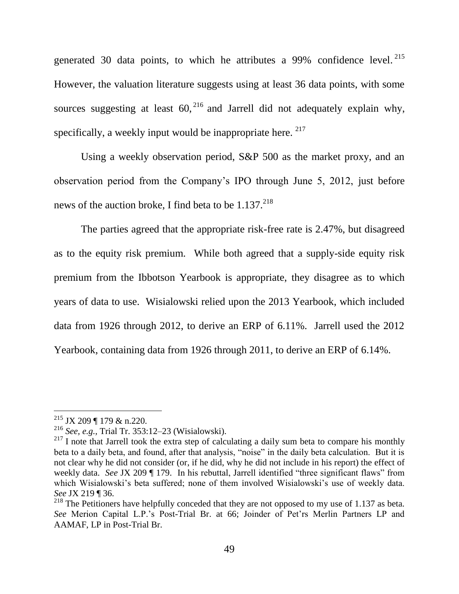generated 30 data points, to which he attributes a 99% confidence level.  $215$ However, the valuation literature suggests using at least 36 data points, with some sources suggesting at least  $60$ ,  $^{216}$  and Jarrell did not adequately explain why, specifically, a weekly input would be inappropriate here.  $217$ 

Using a weekly observation period, S&P 500 as the market proxy, and an observation period from the Company's IPO through June 5, 2012, just before news of the auction broke, I find beta to be  $1.137<sup>218</sup>$ 

The parties agreed that the appropriate risk-free rate is 2.47%, but disagreed as to the equity risk premium. While both agreed that a supply-side equity risk premium from the Ibbotson Yearbook is appropriate, they disagree as to which years of data to use. Wisialowski relied upon the 2013 Yearbook, which included data from 1926 through 2012, to derive an ERP of 6.11%. Jarrell used the 2012 Yearbook, containing data from 1926 through 2011, to derive an ERP of 6.14%.

 $215$  JX 209 ¶ 179 & n.220.

<sup>216</sup> *See, e.g.,* Trial Tr. 353:12–23 (Wisialowski).

 $217$  I note that Jarrell took the extra step of calculating a daily sum beta to compare his monthly beta to a daily beta, and found, after that analysis, "noise" in the daily beta calculation. But it is not clear why he did not consider (or, if he did, why he did not include in his report) the effect of weekly data. *See JX* 209 ¶ 179. In his rebuttal, Jarrell identified "three significant flaws" from which Wisialowski's beta suffered; none of them involved Wisialowski's use of weekly data. *See* JX 219 ¶ 36.

 $218$  The Petitioners have helpfully conceded that they are not opposed to my use of 1.137 as beta. *See* Merion Capital L.P.'s Post-Trial Br. at 66; Joinder of Pet'rs Merlin Partners LP and AAMAF, LP in Post-Trial Br.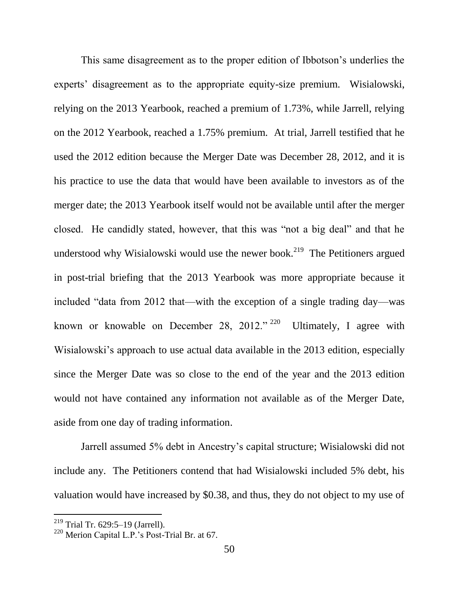This same disagreement as to the proper edition of Ibbotson's underlies the experts' disagreement as to the appropriate equity-size premium. Wisialowski, relying on the 2013 Yearbook, reached a premium of 1.73%, while Jarrell, relying on the 2012 Yearbook, reached a 1.75% premium. At trial, Jarrell testified that he used the 2012 edition because the Merger Date was December 28, 2012, and it is his practice to use the data that would have been available to investors as of the merger date; the 2013 Yearbook itself would not be available until after the merger closed. He candidly stated, however, that this was "not a big deal" and that he understood why Wisialowski would use the newer book.<sup>219</sup> The Petitioners argued in post-trial briefing that the 2013 Yearbook was more appropriate because it included "data from 2012 that—with the exception of a single trading day—was known or knowable on December 28, 2012." <sup>220</sup> Ultimately, I agree with Wisialowski's approach to use actual data available in the 2013 edition, especially since the Merger Date was so close to the end of the year and the 2013 edition would not have contained any information not available as of the Merger Date, aside from one day of trading information.

Jarrell assumed 5% debt in Ancestry's capital structure; Wisialowski did not include any. The Petitioners contend that had Wisialowski included 5% debt, his valuation would have increased by \$0.38, and thus, they do not object to my use of

<sup>219</sup> Trial Tr. 629:5–19 (Jarrell).

<sup>220</sup> Merion Capital L.P.'s Post-Trial Br. at 67.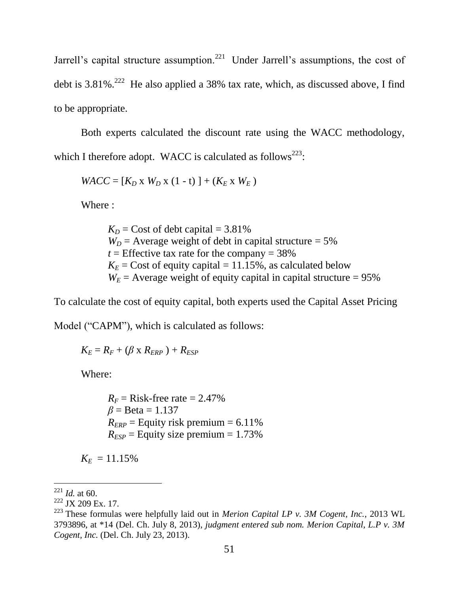Jarrell's capital structure assumption.<sup>221</sup> Under Jarrell's assumptions, the cost of debt is  $3.81\%$ .<sup>222</sup> He also applied a 38% tax rate, which, as discussed above, I find to be appropriate.

Both experts calculated the discount rate using the WACC methodology, which I therefore adopt. WACC is calculated as follows<sup>223</sup>:

 $WACC = [K_D \times W_D \times (1-t)] + (K_E \times W_E)$ 

Where :

 $K_D$  = Cost of debt capital = 3.81%  $W_D$  = Average weight of debt in capital structure = 5%  $t =$  Effective tax rate for the company =  $38\%$  $K_E$  = Cost of equity capital = 11.15%, as calculated below  $W_E$  = Average weight of equity capital in capital structure = 95%

To calculate the cost of equity capital, both experts used the Capital Asset Pricing

Model ("CAPM"), which is calculated as follows:

 $K_F = R_F + (\beta \times R_{FRP}) + R_{FSP}$ 

Where:

 $R_F$  = Risk-free rate = 2.47%  $\beta$  = Beta = 1.137  $R_{ERP} =$  Equity risk premium = 6.11%  $R_{ESP}$  = Equity size premium = 1.73%

 $K_E = 11.15\%$ 

 $^{221}$  *Id.* at 60.

<sup>&</sup>lt;sup>222</sup> JX 209 Ex. 17.

<sup>223</sup> These formulas were helpfully laid out in *Merion Capital LP v. 3M Cogent, Inc.*, 2013 WL 3793896, at \*14 (Del. Ch. July 8, 2013), *judgment entered sub nom. Merion Capital, L.P v. 3M Cogent, Inc.* (Del. Ch. July 23, 2013).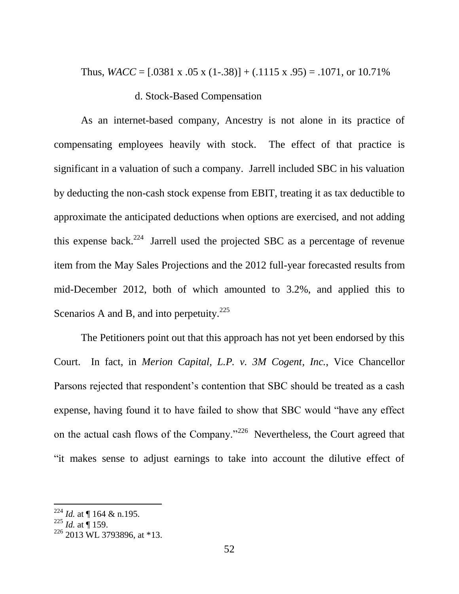Thus,  $WACC = [.0381 \times .05 \times (1-.38)] + (.1115 \times .95) = .1071$ , or 10.71%

### d. Stock-Based Compensation

As an internet-based company, Ancestry is not alone in its practice of compensating employees heavily with stock. The effect of that practice is significant in a valuation of such a company. Jarrell included SBC in his valuation by deducting the non-cash stock expense from EBIT, treating it as tax deductible to approximate the anticipated deductions when options are exercised, and not adding this expense back.<sup>224</sup> Jarrell used the projected SBC as a percentage of revenue item from the May Sales Projections and the 2012 full-year forecasted results from mid-December 2012, both of which amounted to 3.2%, and applied this to Scenarios A and B, and into perpetuity.<sup>225</sup>

The Petitioners point out that this approach has not yet been endorsed by this Court. In fact, in *Merion Capital, L.P. v. 3M Cogent, Inc.*, Vice Chancellor Parsons rejected that respondent's contention that SBC should be treated as a cash expense, having found it to have failed to show that SBC would "have any effect on the actual cash flows of the Company."<sup>226</sup> Nevertheless, the Court agreed that ―it makes sense to adjust earnings to take into account the dilutive effect of

<sup>224</sup> *Id.* at ¶ 164 & n.195.

 $^{225}$  *Id.* at  $\stackrel{\scriptscriptstyle{0}}{||}$  159.

 $226$  2013 WL 3793896, at \*13.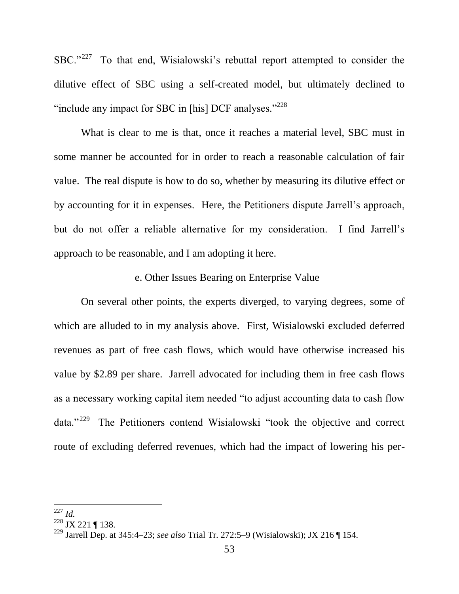$SBC.^{227}$  To that end, Wisialowski's rebuttal report attempted to consider the dilutive effect of SBC using a self-created model, but ultimately declined to "include any impact for SBC in [his] DCF analyses." $^{228}$ 

What is clear to me is that, once it reaches a material level, SBC must in some manner be accounted for in order to reach a reasonable calculation of fair value. The real dispute is how to do so, whether by measuring its dilutive effect or by accounting for it in expenses. Here, the Petitioners dispute Jarrell's approach, but do not offer a reliable alternative for my consideration. I find Jarrell's approach to be reasonable, and I am adopting it here.

## e. Other Issues Bearing on Enterprise Value

On several other points, the experts diverged, to varying degrees, some of which are alluded to in my analysis above. First, Wisialowski excluded deferred revenues as part of free cash flows, which would have otherwise increased his value by \$2.89 per share. Jarrell advocated for including them in free cash flows as a necessary working capital item needed "to adjust accounting data to cash flow data."<sup>229</sup> The Petitioners contend Wisialowski "took the objective and correct route of excluding deferred revenues, which had the impact of lowering his per-

<span id="page-53-0"></span>l <sup>227</sup> *Id.*

 $^{228}$  JX 221 ¶ 138.

<sup>229</sup> Jarrell Dep. at 345:4–23; *see also* Trial Tr. 272:5–9 (Wisialowski); JX 216 ¶ 154.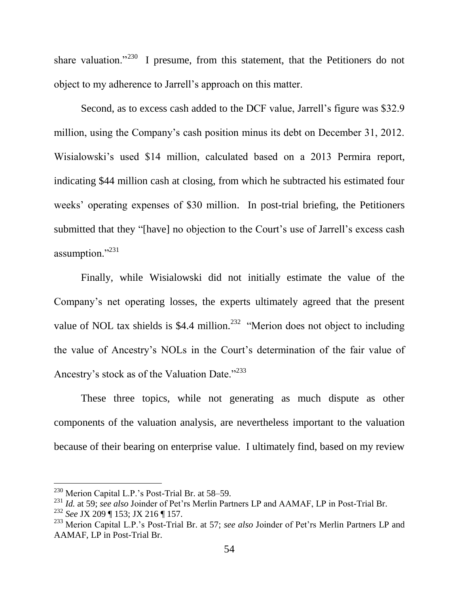<span id="page-54-0"></span>share valuation."<sup>230</sup> I presume, from this statement, that the Petitioners do not object to my adherence to Jarrell's approach on this matter.

Second, as to excess cash added to the DCF value, Jarrell's figure was \$32.9 million, using the Company's cash position minus its debt on December 31, 2012. Wisialowski's used \$14 million, calculated based on a 2013 Permira report, indicating \$44 million cash at closing, from which he subtracted his estimated four weeks' operating expenses of \$30 million. In post-trial briefing, the Petitioners submitted that they "[have] no objection to the Court's use of Jarrell's excess cash assumption."<sup>231</sup>

<span id="page-54-2"></span>Finally, while Wisialowski did not initially estimate the value of the Company's net operating losses, the experts ultimately agreed that the present value of NOL tax shields is \$4.4 million.<sup>232</sup> "Merion does not object to including the value of Ancestry's NOLs in the Court's determination of the fair value of Ancestry's stock as of the Valuation Date."<sup>233</sup>

<span id="page-54-1"></span>These three topics, while not generating as much dispute as other components of the valuation analysis, are nevertheless important to the valuation because of their bearing on enterprise value. I ultimately find, based on my review

 $230$  Merion Capital L.P.'s Post-Trial Br. at 58–59.

<sup>231</sup> *Id.* at 59; *see also* Joinder of Pet'rs Merlin Partners LP and AAMAF, LP in Post-Trial Br.

<sup>232</sup> *See* JX 209 ¶ 153; JX 216 ¶ 157.

<sup>233</sup> Merion Capital L.P.'s Post-Trial Br. at 57; *see also* Joinder of Pet'rs Merlin Partners LP and AAMAF, LP in Post-Trial Br.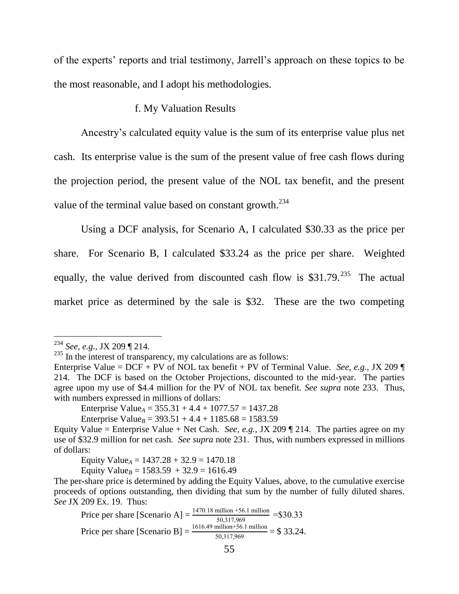of the experts' reports and trial testimony, Jarrell's approach on these topics to be the most reasonable, and I adopt his methodologies.

### f. My Valuation Results

Ancestry's calculated equity value is the sum of its enterprise value plus net cash. Its enterprise value is the sum of the present value of free cash flows during the projection period, the present value of the NOL tax benefit, and the present value of the terminal value based on constant growth.<sup>234</sup>

Using a DCF analysis, for Scenario A, I calculated \$30.33 as the price per share. For Scenario B, I calculated \$33.24 as the price per share. Weighted equally, the value derived from discounted cash flow is  $$31.79<sup>235</sup>$  The actual market price as determined by the sale is \$32. These are the two competing

 $\overline{a}$ 

Enterprise Value<sub>A</sub> =  $355.31 + 4.4 + 1077.57 = 1437.28$ 

Enterprise Value<sub>*B*</sub> = 393.51 + 4.4 + 1185.68 = 1583.59

Equity Value<sub>A</sub> =  $1437.28 + 32.9 = 1470.18$ 

Equity Value<sub>*B*</sub> =  $1583.59 + 32.9 = 1616.49$ 

Price per share [Scenario A] =  $\frac{1470.18 \text{ million} + 56.1 \text{ million}}{50,317,969}$  = \$30.33 Price per share [Scenario B] =  $\frac{1616.49 \text{ million} + 56.1 \text{ million}}{50,317,969}$  = \$ 33.24.

<sup>234</sup> *See, e.g.*, JX 209 ¶ 214.

 $235$  In the interest of transparency, my calculations are as follows:

Enterprise Value = DCF + PV of NOL tax benefit + PV of Terminal Value. *See, e.g.*, JX 209 ¶ 214. The DCF is based on the October Projections, discounted to the mid-year. The parties agree upon my use of \$4.4 million for the PV of NOL tax benefit. *See supra* note [233.](#page-54-1) Thus, with numbers expressed in millions of dollars:

Equity Value = Enterprise Value + Net Cash. *See, e.g.*, JX 209  $\parallel$  214. The parties agree on my use of \$32.9 million for net cash. *See supra* note [231.](#page-54-2) Thus, with numbers expressed in millions of dollars:

The per-share price is determined by adding the Equity Values, above, to the cumulative exercise proceeds of options outstanding, then dividing that sum by the number of fully diluted shares. *See* JX 209 Ex. 19. Thus: